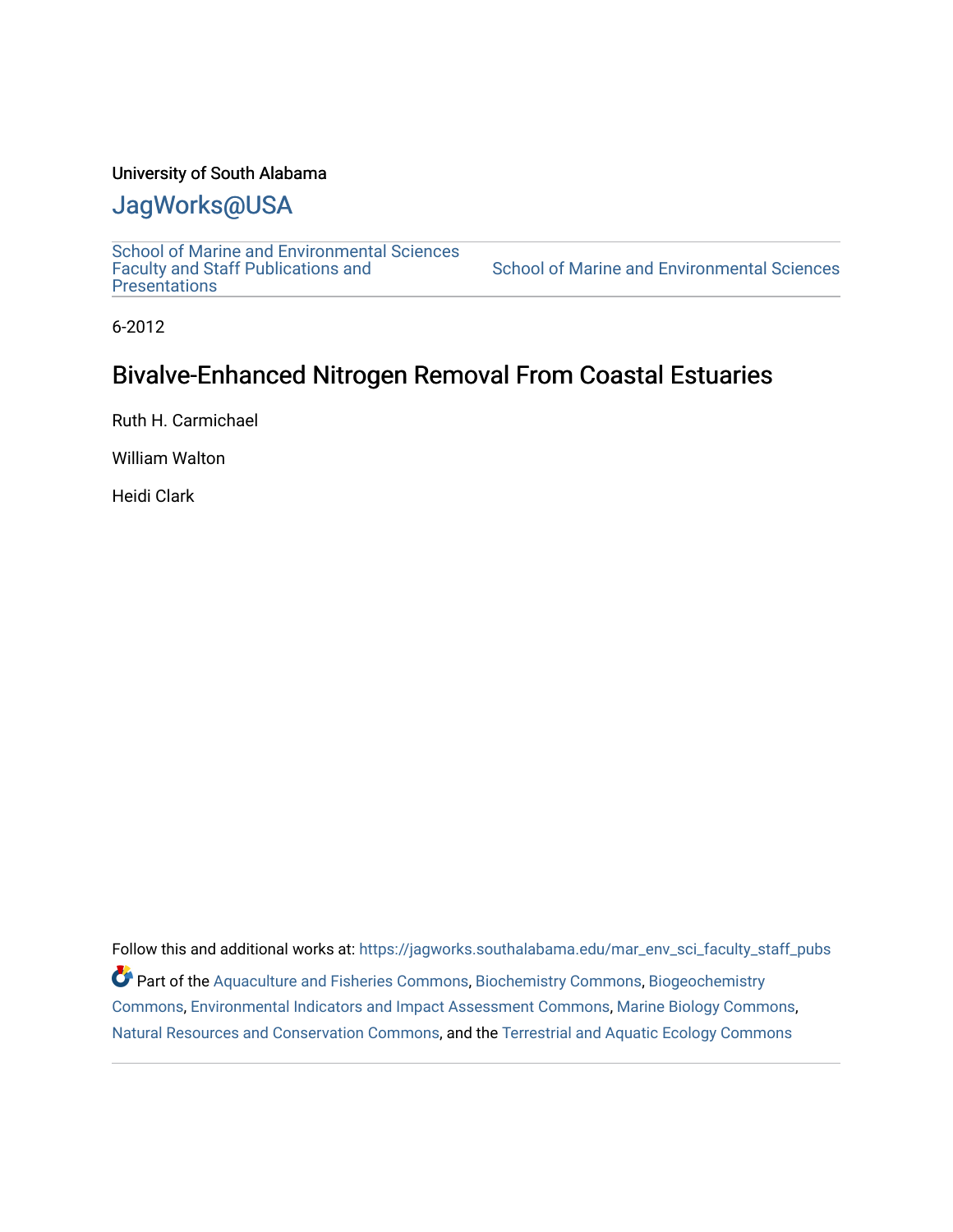### University of South Alabama

# [JagWorks@USA](https://jagworks.southalabama.edu/)

[School of Marine and Environmental Sciences](https://jagworks.southalabama.edu/mar_env_sci_faculty_staff_pubs)  [Faculty and Staff Publications and](https://jagworks.southalabama.edu/mar_env_sci_faculty_staff_pubs)  **Presentations** 

[School of Marine and Environmental Sciences](https://jagworks.southalabama.edu/mar_env_sci) 

6-2012

# Bivalve-Enhanced Nitrogen Removal From Coastal Estuaries

Ruth H. Carmichael

William Walton

Heidi Clark

Follow this and additional works at: [https://jagworks.southalabama.edu/mar\\_env\\_sci\\_faculty\\_staff\\_pubs](https://jagworks.southalabama.edu/mar_env_sci_faculty_staff_pubs?utm_source=jagworks.southalabama.edu%2Fmar_env_sci_faculty_staff_pubs%2F21&utm_medium=PDF&utm_campaign=PDFCoverPages) Part of the [Aquaculture and Fisheries Commons](https://network.bepress.com/hgg/discipline/78?utm_source=jagworks.southalabama.edu%2Fmar_env_sci_faculty_staff_pubs%2F21&utm_medium=PDF&utm_campaign=PDFCoverPages), [Biochemistry Commons,](https://network.bepress.com/hgg/discipline/2?utm_source=jagworks.southalabama.edu%2Fmar_env_sci_faculty_staff_pubs%2F21&utm_medium=PDF&utm_campaign=PDFCoverPages) [Biogeochemistry](https://network.bepress.com/hgg/discipline/154?utm_source=jagworks.southalabama.edu%2Fmar_env_sci_faculty_staff_pubs%2F21&utm_medium=PDF&utm_campaign=PDFCoverPages)  [Commons](https://network.bepress.com/hgg/discipline/154?utm_source=jagworks.southalabama.edu%2Fmar_env_sci_faculty_staff_pubs%2F21&utm_medium=PDF&utm_campaign=PDFCoverPages), [Environmental Indicators and Impact Assessment Commons](https://network.bepress.com/hgg/discipline/1015?utm_source=jagworks.southalabama.edu%2Fmar_env_sci_faculty_staff_pubs%2F21&utm_medium=PDF&utm_campaign=PDFCoverPages), [Marine Biology Commons](https://network.bepress.com/hgg/discipline/1126?utm_source=jagworks.southalabama.edu%2Fmar_env_sci_faculty_staff_pubs%2F21&utm_medium=PDF&utm_campaign=PDFCoverPages), [Natural Resources and Conservation Commons,](https://network.bepress.com/hgg/discipline/168?utm_source=jagworks.southalabama.edu%2Fmar_env_sci_faculty_staff_pubs%2F21&utm_medium=PDF&utm_campaign=PDFCoverPages) and the [Terrestrial and Aquatic Ecology Commons](https://network.bepress.com/hgg/discipline/20?utm_source=jagworks.southalabama.edu%2Fmar_env_sci_faculty_staff_pubs%2F21&utm_medium=PDF&utm_campaign=PDFCoverPages)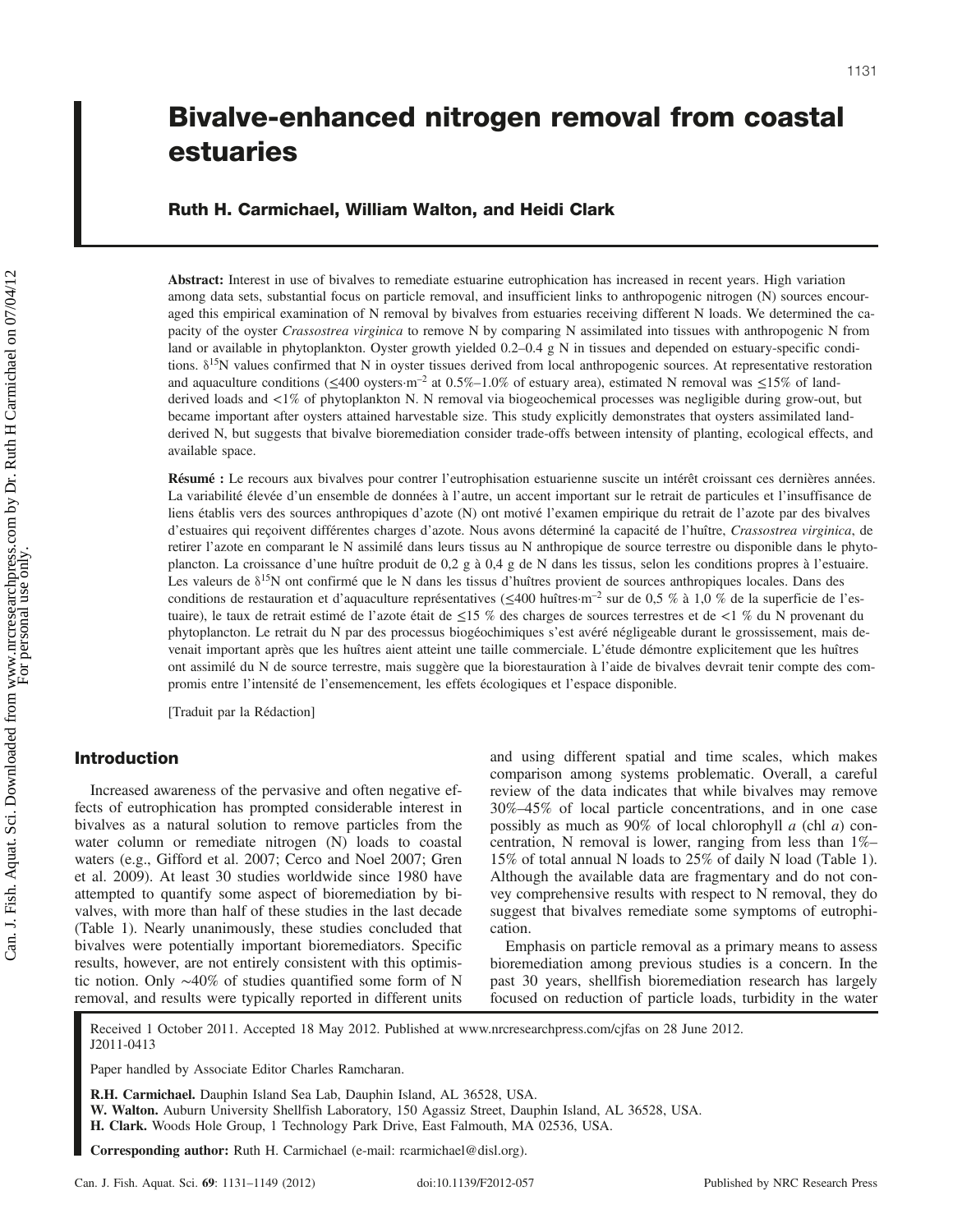# Bivalve-enhanced nitrogen removal from coastal estuaries

### Ruth H. Carmichael, William Walton, and Heidi Clark

Abstract: Interest in use of bivalves to remediate estuarine eutrophication has increased in recent years. High variation among data sets, substantial focus on particle removal, and insufficient links to anthropogenic nitrogen (N) sources encouraged this empirical examination of N removal by bivalves from estuaries receiving different N loads. We determined the capacity of the oyster Crassostrea virginica to remove N by comparing N assimilated into tissues with anthropogenic N from land or available in phytoplankton. Oyster growth yielded 0.2–0.4 g N in tissues and depended on estuary-specific conditions.  $\delta^{15}$ N values confirmed that N in oyster tissues derived from local anthropogenic sources. At representative restoration and aquaculture conditions (≤400 oysters·m–<sup>2</sup> at 0.5%–1.0% of estuary area), estimated N removal was ≤15% of landderived loads and <1% of phytoplankton N. N removal via biogeochemical processes was negligible during grow-out, but became important after oysters attained harvestable size. This study explicitly demonstrates that oysters assimilated landderived N, but suggests that bivalve bioremediation consider trade-offs between intensity of planting, ecological effects, and available space.

Résumé : Le recours aux bivalves pour contrer l'eutrophisation estuarienne suscite un intérêt croissant ces dernières années. La variabilité élevée d'un ensemble de données à l'autre, un accent important sur le retrait de particules et l'insuffisance de liens établis vers des sources anthropiques d'azote (N) ont motivé l'examen empirique du retrait de l'azote par des bivalves d'estuaires qui reçoivent différentes charges d'azote. Nous avons déterminé la capacité de l'huître, Crassostrea virginica, de retirer l'azote en comparant le N assimilé dans leurs tissus au N anthropique de source terrestre ou disponible dans le phytoplancton. La croissance d'une huître produit de 0,2 g à 0,4 g de N dans les tissus, selon les conditions propres à l'estuaire. Les valeurs de  $\delta^{15}$ N ont confirmé que le N dans les tissus d'huîtres provient de sources anthropiques locales. Dans des conditions de restauration et d'aquaculture représentatives ( $\leq$ 400 huîtres·m<sup>-2</sup> sur de 0,5 % à 1,0 % de la superficie de l'estuaire), le taux de retrait estimé de l'azote était de ≤15 % des charges de sources terrestres et de <1 % du N provenant du phytoplancton. Le retrait du N par des processus biogéochimiques s'est avéré négligeable durant le grossissement, mais devenait important après que les huîtres aient atteint une taille commerciale. L'étude démontre explicitement que les huîtres ont assimilé du N de source terrestre, mais suggère que la biorestauration à l'aide de bivalves devrait tenir compte des compromis entre l'intensité de l'ensemencement, les effets écologiques et l'espace disponible.

[Traduit par la Rédaction]

### Introduction

Increased awareness of the pervasive and often negative effects of eutrophication has prompted considerable interest in bivalves as a natural solution to remove particles from the water column or remediate nitrogen (N) loads to coastal waters (e.g., Gifford et al. 2007; Cerco and Noel 2007; Gren et al. 2009). At least 30 studies worldwide since 1980 have attempted to quantify some aspect of bioremediation by bivalves, with more than half of these studies in the last decade (Table 1). Nearly unanimously, these studies concluded that bivalves were potentially important bioremediators. Specific results, however, are not entirely consistent with this optimistic notion. Only ∼40% of studies quantified some form of N removal, and results were typically reported in different units and using different spatial and time scales, which makes comparison among systems problematic. Overall, a careful review of the data indicates that while bivalves may remove 30%–45% of local particle concentrations, and in one case possibly as much as 90% of local chlorophyll  $a$  (chl  $a$ ) concentration, N removal is lower, ranging from less than 1%– 15% of total annual N loads to 25% of daily N load (Table 1). Although the available data are fragmentary and do not convey comprehensive results with respect to N removal, they do suggest that bivalves remediate some symptoms of eutrophication.

Emphasis on particle removal as a primary means to assess bioremediation among previous studies is a concern. In the past 30 years, shellfish bioremediation research has largely focused on reduction of particle loads, turbidity in the water

Received 1 October 2011. Accepted 18 May 2012. Published at www.nrcresearchpress.com/cjfas on 28 June 2012. J2011-0413

Paper handled by Associate Editor Charles Ramcharan.

R.H. Carmichael. Dauphin Island Sea Lab, Dauphin Island, AL 36528, USA. W. Walton. Auburn University Shellfish Laboratory, 150 Agassiz Street, Dauphin Island, AL 36528, USA. H. Clark. Woods Hole Group, 1 Technology Park Drive, East Falmouth, MA 02536, USA.

Corresponding author: Ruth H. Carmichael (e-mail: rcarmichael@disl.org).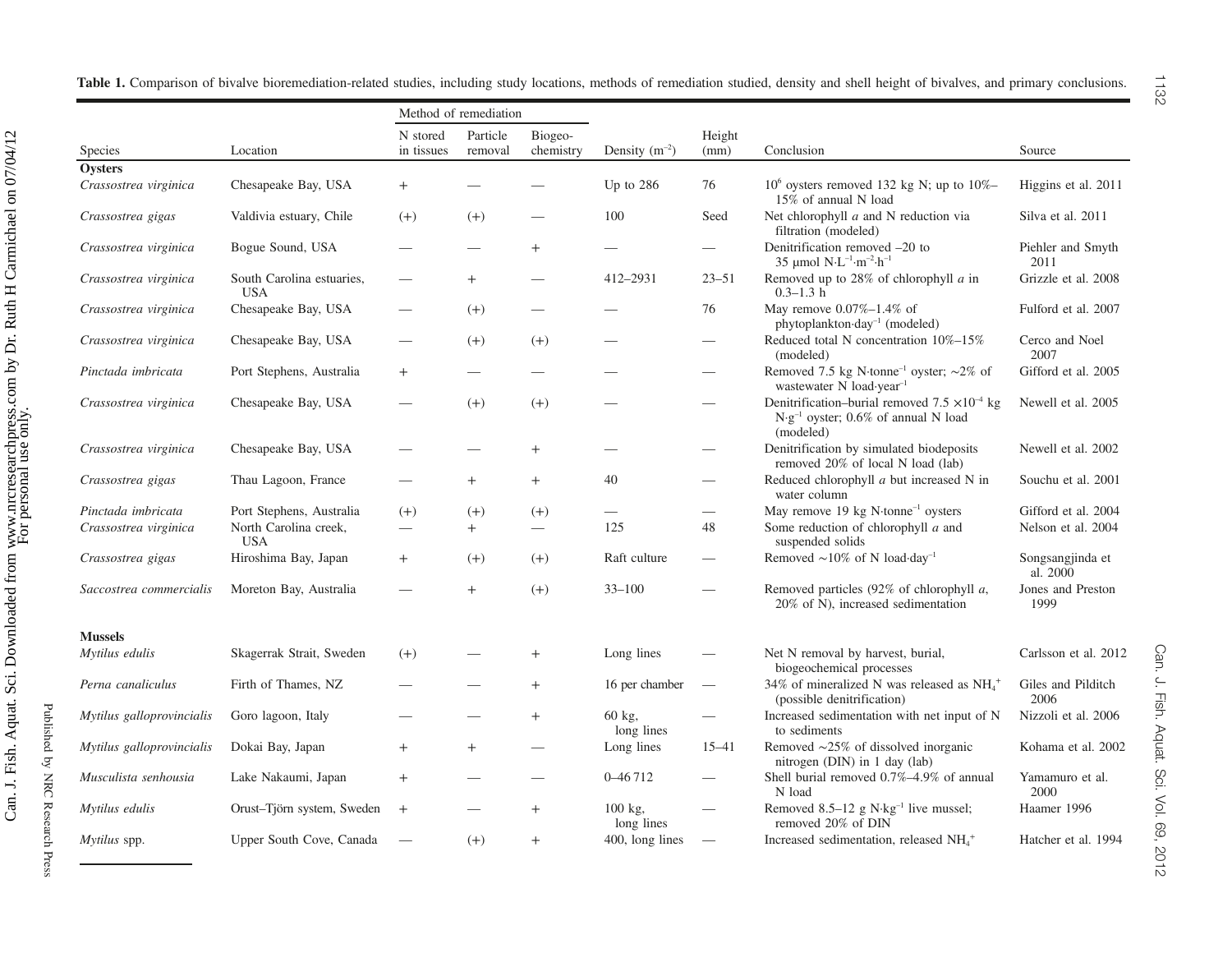|                           |                                         |                          | Method of remediation |                          |                                |                          |                                                                                                                                |                              |
|---------------------------|-----------------------------------------|--------------------------|-----------------------|--------------------------|--------------------------------|--------------------------|--------------------------------------------------------------------------------------------------------------------------------|------------------------------|
| <b>Species</b>            | Location                                | N stored<br>in tissues   | Particle<br>removal   | Biogeo-<br>chemistry     | Density $(m^{-2})$             | Height<br>(mm)           | Conclusion                                                                                                                     | Source                       |
| Oysters                   |                                         |                          |                       |                          |                                |                          |                                                                                                                                |                              |
| Crassostrea virginica     | Chesapeake Bay, USA                     | $^{+}$                   |                       |                          | Up to 286                      | 76                       | $10^6$ oysters removed 132 kg N; up to $10\%$ -<br>15% of annual N load                                                        | Higgins et al. 2011          |
| Crassostrea gigas         | Valdivia estuary, Chile                 | $(+)$                    | $(+)$                 |                          | 100                            | Seed                     | Net chlorophyll $a$ and N reduction via<br>filtration (modeled)                                                                | Silva et al. 2011            |
| Crassostrea virginica     | Bogue Sound, USA                        |                          |                       | $+$                      |                                | $\overline{\phantom{0}}$ | Denitrification removed -20 to<br>35 µmol $N \cdot L^{-1} \cdot m^{-2} \cdot h^{-1}$                                           | Piehler and Smyth<br>2011    |
| Crassostrea virginica     | South Carolina estuaries,<br><b>USA</b> | --                       | $+$                   | $\overline{\phantom{0}}$ | 412-2931                       | $23 - 51$                | Removed up to 28% of chlorophyll a in<br>$0.3 - 1.3$ h                                                                         | Grizzle et al. 2008          |
| Crassostrea virginica     | Chesapeake Bay, USA                     | $\overline{\phantom{0}}$ | $(+)$                 |                          |                                | 76                       | May remove 0.07%-1.4% of<br>phytoplankton·day <sup>-1</sup> (modeled)                                                          | Fulford et al. 2007          |
| Crassostrea virginica     | Chesapeake Bay, USA                     |                          | $(+)$                 | $(+)$                    |                                | $\overline{\phantom{0}}$ | Reduced total N concentration 10%-15%<br>(modeled)                                                                             | Cerco and Noel<br>2007       |
| Pinctada imbricata        | Port Stephens, Australia                | $+$                      |                       |                          |                                | $\overline{\phantom{0}}$ | Removed 7.5 kg N·tonne <sup>-1</sup> oyster; $\sim$ 2% of<br>wastewater N load-year <sup>-1</sup>                              | Gifford et al. 2005          |
| Crassostrea virginica     | Chesapeake Bay, USA                     |                          | $(+)$                 | $(+)$                    |                                |                          | Denitrification-burial removed 7.5 $\times$ 10 <sup>-4</sup> kg<br>$N \cdot g^{-1}$ oyster; 0.6% of annual N load<br>(modeled) | Newell et al. 2005           |
| Crassostrea virginica     | Chesapeake Bay, USA                     | $\overline{\phantom{0}}$ |                       | $^{+}$                   |                                |                          | Denitrification by simulated biodeposits<br>removed 20% of local N load (lab)                                                  | Newell et al. 2002           |
| Crassostrea gigas         | Thau Lagoon, France                     |                          | $+$                   | $^{+}$                   | 40                             |                          | Reduced chlorophyll a but increased N in<br>water column                                                                       | Souchu et al. 2001           |
| Pinctada imbricata        | Port Stephens, Australia                | $(+)$                    | $(+)$                 | $(+)$                    |                                |                          | May remove 19 kg N·tonne <sup>-1</sup> oysters                                                                                 | Gifford et al. 2004          |
| Crassostrea virginica     | North Carolina creek,<br><b>USA</b>     | —                        | $^{+}$                |                          | 125                            | 48                       | Some reduction of chlorophyll $a$ and<br>suspended solids                                                                      | Nelson et al. 2004           |
| Crassostrea gigas         | Hiroshima Bay, Japan                    | $^{+}$                   | $(+)$                 | $(+)$                    | Raft culture                   | $\overline{\phantom{0}}$ | Removed $\sim$ 10% of N load day <sup>-1</sup>                                                                                 | Songsangjinda et<br>al. 2000 |
| Saccostrea commercialis   | Moreton Bay, Australia                  |                          | $+$                   | $(+)$                    | $33 - 100$                     |                          | Removed particles (92% of chlorophyll a,<br>20% of N), increased sedimentation                                                 | Jones and Preston<br>1999    |
| <b>Mussels</b>            |                                         |                          |                       |                          |                                |                          |                                                                                                                                |                              |
| Mytilus edulis            | Skagerrak Strait, Sweden                | $(+)$                    |                       | $^{+}$                   | Long lines                     |                          | Net N removal by harvest, burial,<br>biogeochemical processes                                                                  | Carlsson et al. 2012         |
| Perna canaliculus         | Firth of Thames, NZ                     |                          |                       | $^{+}$                   | 16 per chamber                 | $\overline{\phantom{m}}$ | 34% of mineralized N was released as $NH4$ <sup>+</sup><br>(possible denitrification)                                          | Giles and Pilditch<br>2006   |
| Mytilus galloprovincialis | Goro lagoon, Italy                      |                          |                       | $+$                      | 60 kg.<br>long lines           | $\overline{\phantom{0}}$ | Increased sedimentation with net input of N<br>to sediments                                                                    | Nizzoli et al. 2006          |
| Mytilus galloprovincialis | Dokai Bay, Japan                        | $+$                      | $+$                   |                          | Long lines                     | $15 - 41$                | Removed $\sim$ 25% of dissolved inorganic<br>nitrogen (DIN) in 1 day (lab)                                                     | Kohama et al. 2002           |
| Musculista senhousia      | Lake Nakaumi, Japan                     | $^{+}$                   |                       |                          | $0 - 46712$                    |                          | Shell burial removed 0.7%-4.9% of annual<br>N load                                                                             | Yamamuro et al.<br>2000      |
| Mytilus edulis            | Orust-Tjörn system, Sweden              | $+$                      |                       | $+$                      | $100 \text{ kg}$<br>long lines |                          | Removed 8.5–12 g $N \cdot kg^{-1}$ live mussel;<br>removed 20% of DIN                                                          | Haamer 1996                  |
| Mytilus spp.              | Upper South Cove, Canada                | $\overline{\phantom{m}}$ | $(+)$                 | $+$                      | 400, long lines                | $\overline{\phantom{a}}$ | Increased sedimentation, released $NH4$ <sup>+</sup>                                                                           | Hatcher et al. 1994          |

Table 1. Comparison of bivalve bioremediation-related studies, including study locations, methods of remediation studied, density and shell height of bivalves, and primary conclusions.

Published by NRC Research Press

Published by NRC Research Press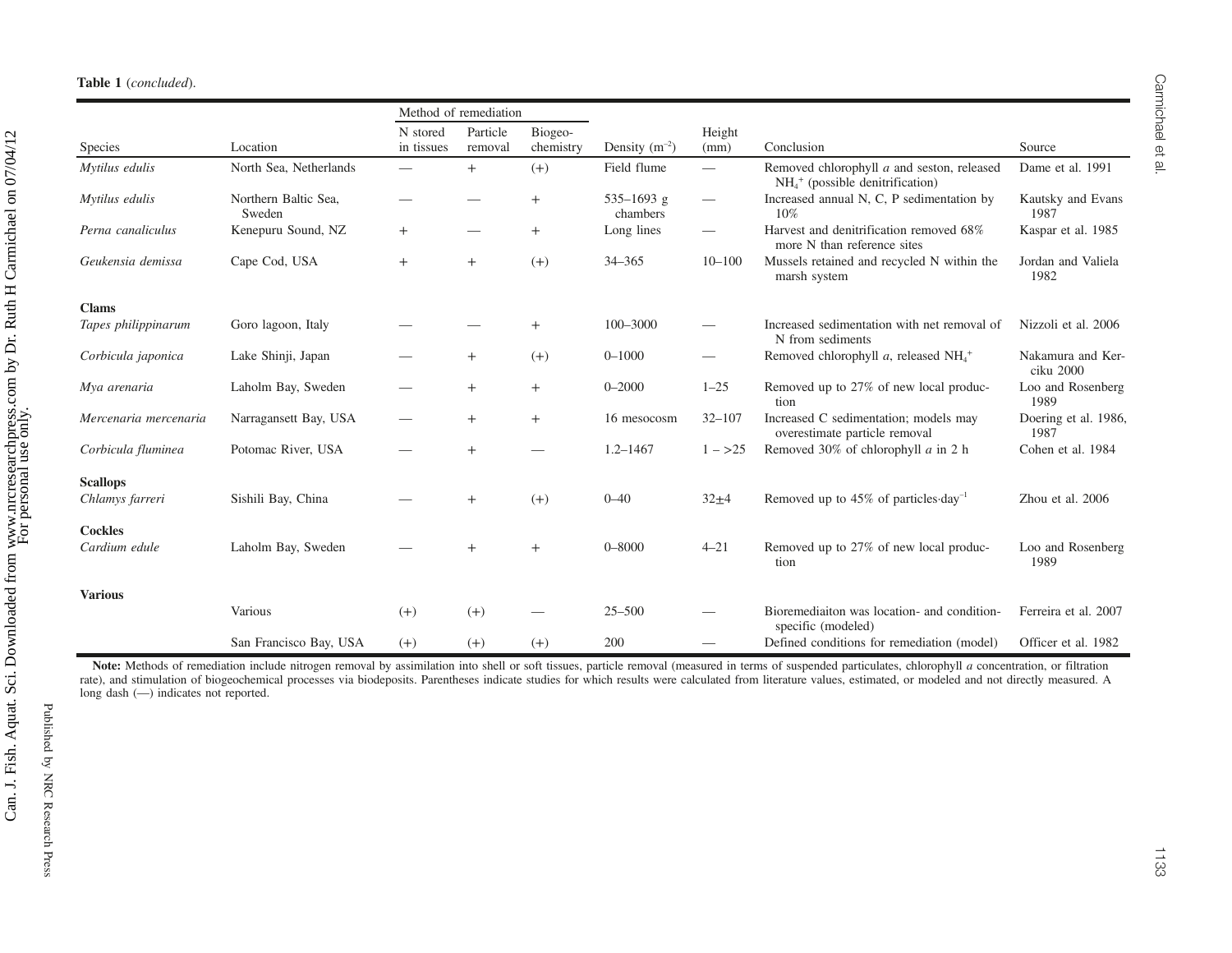|                                    |                                |                          | Method of remediation |                      |                        |                                 |                                                                                 |                                |
|------------------------------------|--------------------------------|--------------------------|-----------------------|----------------------|------------------------|---------------------------------|---------------------------------------------------------------------------------|--------------------------------|
| Species                            | Location                       | N stored<br>in tissues   | Particle<br>removal   | Biogeo-<br>chemistry | Density $(m^{-2})$     | Height<br>(mm)                  | Conclusion                                                                      | Source                         |
| Mytilus edulis                     | North Sea, Netherlands         | $\overline{\phantom{0}}$ | $+$                   | $(+)$                | Field flume            |                                 | Removed chlorophyll a and seston, released<br>$NH4+$ (possible denitrification) | Dame et al. 1991               |
| Mytilus edulis                     | Northern Baltic Sea,<br>Sweden |                          |                       | $\ddot{}$            | 535-1693 g<br>chambers | $\hspace{0.1mm}-\hspace{0.1mm}$ | Increased annual N, C, P sedimentation by<br>10%                                | Kautsky and Evans<br>1987      |
| Perna canaliculus                  | Kenepuru Sound, NZ             | $^{+}$                   |                       | $^{+}$               | Long lines             | $\hspace{0.1mm}-\hspace{0.1mm}$ | Harvest and denitrification removed 68%<br>more N than reference sites          | Kaspar et al. 1985             |
| Geukensia demissa                  | Cape Cod, USA                  | $+$                      | $^{+}$                | $(+)$                | $34 - 365$             | $10 - 100$                      | Mussels retained and recycled N within the<br>marsh system                      | Jordan and Valiela<br>1982     |
| <b>Clams</b>                       |                                |                          |                       |                      |                        |                                 |                                                                                 |                                |
| Tapes philippinarum                | Goro lagoon, Italy             |                          |                       | $^{+}$               | 100-3000               |                                 | Increased sedimentation with net removal of<br>N from sediments                 | Nizzoli et al. 2006            |
| Corbicula japonica                 | Lake Shinji, Japan             |                          | $^{+}$                | $(+)$                | $0 - 1000$             | $\hspace{0.1mm}-\hspace{0.1mm}$ | Removed chlorophyll a, released $NH4$ <sup>+</sup>                              | Nakamura and Ker-<br>ciku 2000 |
| Mya arenaria                       | Laholm Bay, Sweden             |                          | $^{+}$                | $+$                  | $0 - 2000$             | $1 - 25$                        | Removed up to 27% of new local produc-<br>tion                                  | Loo and Rosenberg<br>1989      |
| Mercenaria mercenaria              | Narragansett Bay, USA          |                          | $^{+}$                | $^{+}$               | 16 mesocosm            | $32 - 107$                      | Increased C sedimentation; models may<br>overestimate particle removal          | Doering et al. 1986,<br>1987   |
| Corbicula fluminea                 | Potomac River, USA             |                          | $+$                   |                      | $1.2 - 1467$           | $1 - >25$                       | Removed 30% of chlorophyll $a$ in 2 h                                           | Cohen et al. 1984              |
| <b>Scallops</b><br>Chlamys farreri | Sishili Bay, China             |                          | $+$                   | $(+)$                | $0 - 40$               | $32 + 4$                        | Removed up to 45% of particles $\text{day}^{-1}$                                | Zhou et al. 2006               |
| <b>Cockles</b><br>Cardium edule    | Laholm Bay, Sweden             |                          | $^{+}$                | $^{+}$               | $0 - 8000$             | $4 - 21$                        | Removed up to 27% of new local produc-<br>tion                                  | Loo and Rosenberg<br>1989      |
| <b>Various</b>                     |                                |                          |                       |                      |                        |                                 |                                                                                 |                                |
|                                    | Various                        | $(+)$                    | $(+)$                 |                      | $25 - 500$             |                                 | Bioremediaiton was location- and condition-<br>specific (modeled)               | Ferreira et al. 2007           |
|                                    | San Francisco Bay, USA         | $(+)$                    | $(+)$                 | $(+)$                | 200                    |                                 | Defined conditions for remediation (model)                                      | Officer et al. 1982            |

Note: Methods of remediation include nitrogen removal by assimilation into shell or soft tissues, particle removal (measured in terms of suspended particulates, chlorophyll a concentration, or filtration rate), and stimulation of biogeochemical processes via biodeposits. Parentheses indicate studies for which results were calculated from literature values, estimated, or modeled and not directly measured. A long dash (—) indicates not reported.

Published by NRC Research Press

Published by NRC Research Press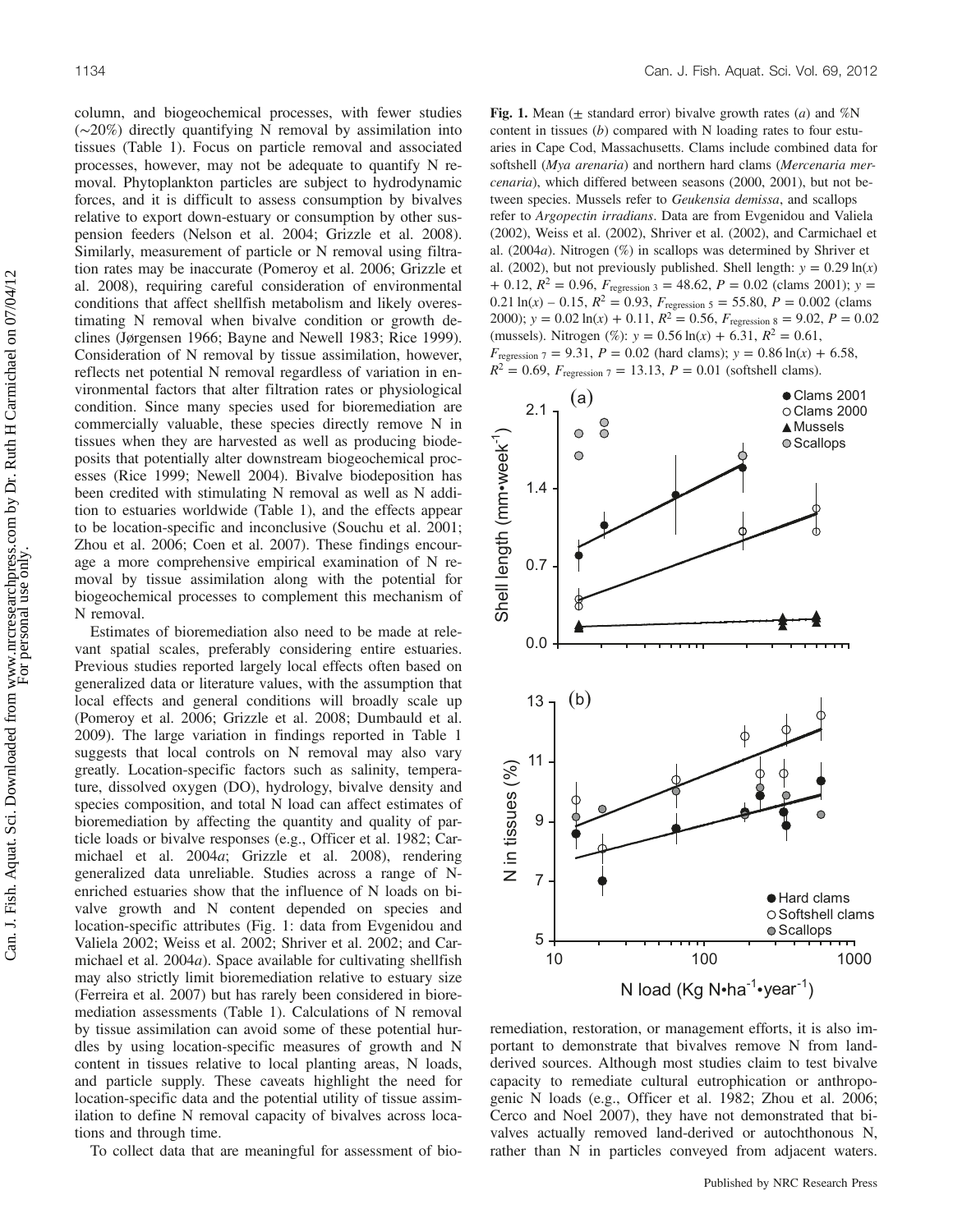column, and biogeochemical processes, with fewer studies (∼20%) directly quantifying N removal by assimilation into tissues (Table 1). Focus on particle removal and associated processes, however, may not be adequate to quantify N removal. Phytoplankton particles are subject to hydrodynamic forces, and it is difficult to assess consumption by bivalves relative to export down-estuary or consumption by other suspension feeders (Nelson et al. 2004; Grizzle et al. 2008). Similarly, measurement of particle or N removal using filtration rates may be inaccurate (Pomeroy et al. 2006; Grizzle et al. 2008), requiring careful consideration of environmental conditions that affect shellfish metabolism and likely overestimating N removal when bivalve condition or growth declines (Jørgensen 1966; Bayne and Newell 1983; Rice 1999). Consideration of N removal by tissue assimilation, however, reflects net potential N removal regardless of variation in environmental factors that alter filtration rates or physiological condition. Since many species used for bioremediation are commercially valuable, these species directly remove N in tissues when they are harvested as well as producing biodeposits that potentially alter downstream biogeochemical processes (Rice 1999; Newell 2004). Bivalve biodeposition has been credited with stimulating N removal as well as N addition to estuaries worldwide (Table 1), and the effects appear to be location-specific and inconclusive (Souchu et al. 2001; Zhou et al. 2006; Coen et al. 2007). These findings encourage a more comprehensive empirical examination of N removal by tissue assimilation along with the potential for biogeochemical processes to complement this mechanism of N removal.

Estimates of bioremediation also need to be made at relevant spatial scales, preferably considering entire estuaries. Previous studies reported largely local effects often based on generalized data or literature values, with the assumption that local effects and general conditions will broadly scale up (Pomeroy et al. 2006; Grizzle et al. 2008; Dumbauld et al. 2009). The large variation in findings reported in Table 1 suggests that local controls on N removal may also vary greatly. Location-specific factors such as salinity, temperature, dissolved oxygen (DO), hydrology, bivalve density and species composition, and total N load can affect estimates of bioremediation by affecting the quantity and quality of particle loads or bivalve responses (e.g., Officer et al. 1982; Carmichael et al. 2004a; Grizzle et al. 2008), rendering generalized data unreliable. Studies across a range of Nenriched estuaries show that the influence of N loads on bivalve growth and N content depended on species and location-specific attributes (Fig. 1: data from Evgenidou and Valiela 2002; Weiss et al. 2002; Shriver et al. 2002; and Carmichael et al. 2004a). Space available for cultivating shellfish may also strictly limit bioremediation relative to estuary size (Ferreira et al. 2007) but has rarely been considered in bioremediation assessments (Table 1). Calculations of N removal by tissue assimilation can avoid some of these potential hurdles by using location-specific measures of growth and N content in tissues relative to local planting areas, N loads, and particle supply. These caveats highlight the need for location-specific data and the potential utility of tissue assimilation to define N removal capacity of bivalves across locations and through time.

To collect data that are meaningful for assessment of bio-

Fig. 1. Mean ( $\pm$  standard error) bivalve growth rates (*a*) and %N content in tissues (b) compared with N loading rates to four estuaries in Cape Cod, Massachusetts. Clams include combined data for softshell (Mya arenaria) and northern hard clams (Mercenaria mercenaria), which differed between seasons (2000, 2001), but not between species. Mussels refer to Geukensia demissa, and scallops refer to Argopectin irradians. Data are from Evgenidou and Valiela (2002), Weiss et al. (2002), Shriver et al. (2002), and Carmichael et al. (2004*a*). Nitrogen  $(\%)$  in scallops was determined by Shriver et al. (2002), but not previously published. Shell length:  $y = 0.29 \ln(x)$  $+$  0.12,  $R^2 = 0.96$ ,  $F_{regression 3} = 48.62$ ,  $P = 0.02$  (clams 2001);  $y =$ 0.21 ln(x) – 0.15,  $R^2 = 0.93$ ,  $F_{\text{regression 5}} = 55.80$ ,  $P = 0.002$  (clams 2000);  $y = 0.02 \ln(x) + 0.11$ ,  $R^2 = 0.56$ ,  $F_{\text{regression 8}} = 9.02$ ,  $P = 0.02$ (mussels). Nitrogen (%):  $y = 0.56 \ln(x) + 6.31$ ,  $R^2 = 0.61$ ,  $F_{\text{regression 7}} = 9.31, P = 0.02 \text{ (hard claims)}; y = 0.86 \ln(x) + 6.58,$  $R^2 = 0.69$ ,  $F_{\text{regression}}$  7 = 13.13,  $P = 0.01$  (softshell clams).



remediation, restoration, or management efforts, it is also important to demonstrate that bivalves remove N from landderived sources. Although most studies claim to test bivalve capacity to remediate cultural eutrophication or anthropogenic N loads (e.g., Officer et al. 1982; Zhou et al. 2006; Cerco and Noel 2007), they have not demonstrated that bivalves actually removed land-derived or autochthonous N, rather than N in particles conveyed from adjacent waters.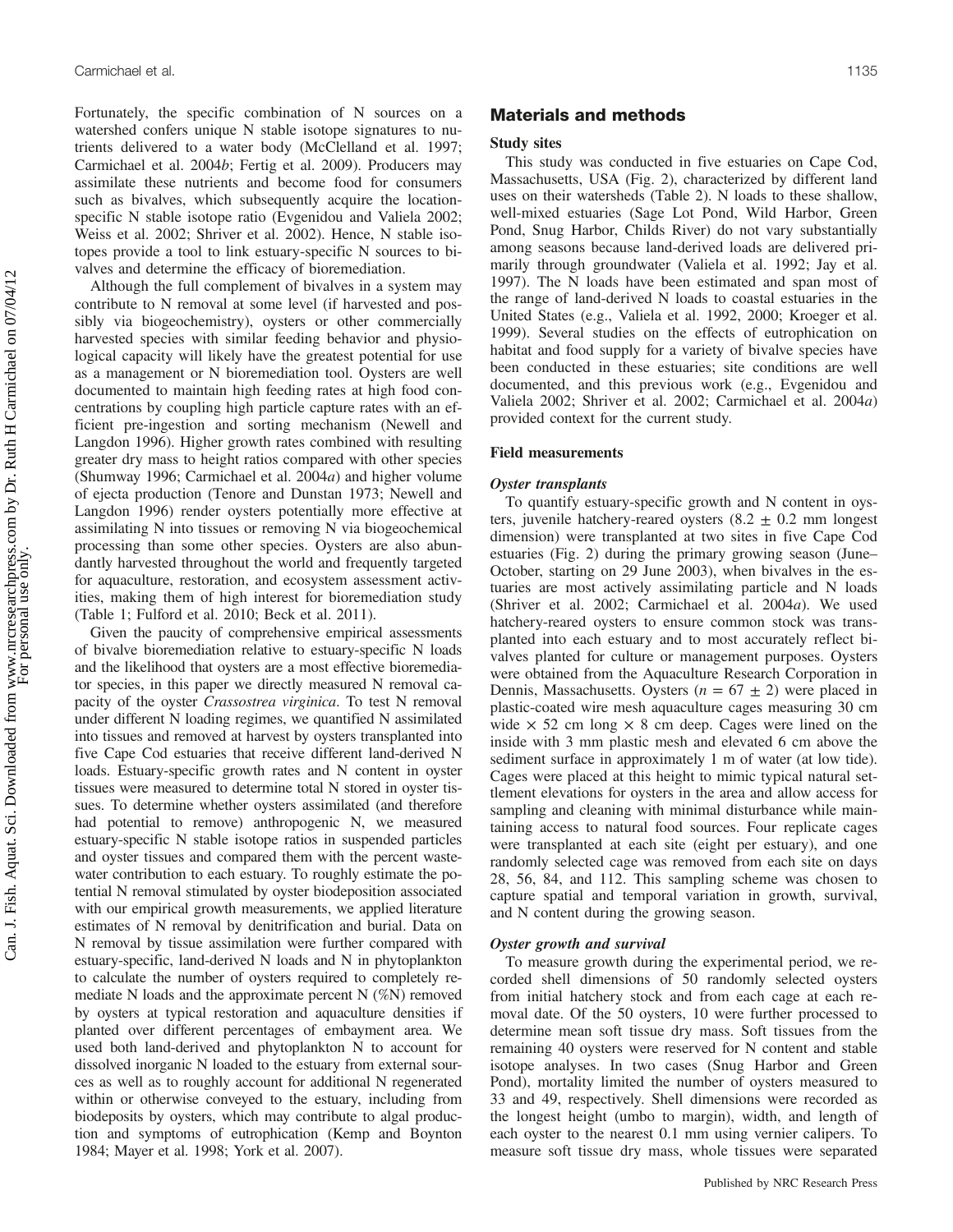Fortunately, the specific combination of N sources on a watershed confers unique N stable isotope signatures to nutrients delivered to a water body (McClelland et al. 1997; Carmichael et al. 2004b; Fertig et al. 2009). Producers may assimilate these nutrients and become food for consumers such as bivalves, which subsequently acquire the locationspecific N stable isotope ratio (Evgenidou and Valiela 2002; Weiss et al. 2002; Shriver et al. 2002). Hence, N stable isotopes provide a tool to link estuary-specific N sources to bivalves and determine the efficacy of bioremediation.

Although the full complement of bivalves in a system may contribute to N removal at some level (if harvested and possibly via biogeochemistry), oysters or other commercially harvested species with similar feeding behavior and physiological capacity will likely have the greatest potential for use as a management or N bioremediation tool. Oysters are well documented to maintain high feeding rates at high food concentrations by coupling high particle capture rates with an efficient pre-ingestion and sorting mechanism (Newell and Langdon 1996). Higher growth rates combined with resulting greater dry mass to height ratios compared with other species (Shumway 1996; Carmichael et al. 2004a) and higher volume of ejecta production (Tenore and Dunstan 1973; Newell and Langdon 1996) render oysters potentially more effective at assimilating N into tissues or removing N via biogeochemical processing than some other species. Oysters are also abundantly harvested throughout the world and frequently targeted for aquaculture, restoration, and ecosystem assessment activities, making them of high interest for bioremediation study (Table 1; Fulford et al. 2010; Beck et al. 2011).

Given the paucity of comprehensive empirical assessments of bivalve bioremediation relative to estuary-specific N loads and the likelihood that oysters are a most effective bioremediator species, in this paper we directly measured N removal capacity of the oyster Crassostrea virginica. To test N removal under different N loading regimes, we quantified N assimilated into tissues and removed at harvest by oysters transplanted into five Cape Cod estuaries that receive different land-derived N loads. Estuary-specific growth rates and N content in oyster tissues were measured to determine total N stored in oyster tissues. To determine whether oysters assimilated (and therefore had potential to remove) anthropogenic N, we measured estuary-specific N stable isotope ratios in suspended particles and oyster tissues and compared them with the percent wastewater contribution to each estuary. To roughly estimate the potential N removal stimulated by oyster biodeposition associated with our empirical growth measurements, we applied literature estimates of N removal by denitrification and burial. Data on N removal by tissue assimilation were further compared with estuary-specific, land-derived N loads and N in phytoplankton to calculate the number of oysters required to completely remediate N loads and the approximate percent N  $(\%N)$  removed by oysters at typical restoration and aquaculture densities if planted over different percentages of embayment area. We used both land-derived and phytoplankton N to account for dissolved inorganic N loaded to the estuary from external sources as well as to roughly account for additional N regenerated within or otherwise conveyed to the estuary, including from biodeposits by oysters, which may contribute to algal production and symptoms of eutrophication (Kemp and Boynton 1984; Mayer et al. 1998; York et al. 2007).

#### Materials and methods

#### Study sites

This study was conducted in five estuaries on Cape Cod, Massachusetts, USA (Fig. 2), characterized by different land uses on their watersheds (Table 2). N loads to these shallow, well-mixed estuaries (Sage Lot Pond, Wild Harbor, Green Pond, Snug Harbor, Childs River) do not vary substantially among seasons because land-derived loads are delivered primarily through groundwater (Valiela et al. 1992; Jay et al. 1997). The N loads have been estimated and span most of the range of land-derived N loads to coastal estuaries in the United States (e.g., Valiela et al. 1992, 2000; Kroeger et al. 1999). Several studies on the effects of eutrophication on habitat and food supply for a variety of bivalve species have been conducted in these estuaries; site conditions are well documented, and this previous work (e.g., Evgenidou and Valiela 2002; Shriver et al. 2002; Carmichael et al. 2004a) provided context for the current study.

#### Field measurements

#### Oyster transplants

To quantify estuary-specific growth and N content in oysters, juvenile hatchery-reared oysters  $(8.2 \pm 0.2 \text{ mm}$  longest dimension) were transplanted at two sites in five Cape Cod estuaries (Fig. 2) during the primary growing season (June– October, starting on 29 June 2003), when bivalves in the estuaries are most actively assimilating particle and N loads (Shriver et al. 2002; Carmichael et al. 2004a). We used hatchery-reared oysters to ensure common stock was transplanted into each estuary and to most accurately reflect bivalves planted for culture or management purposes. Oysters were obtained from the Aquaculture Research Corporation in Dennis, Massachusetts. Oysters ( $n = 67 \pm 2$ ) were placed in plastic-coated wire mesh aquaculture cages measuring 30 cm wide  $\times$  52 cm long  $\times$  8 cm deep. Cages were lined on the inside with 3 mm plastic mesh and elevated 6 cm above the sediment surface in approximately 1 m of water (at low tide). Cages were placed at this height to mimic typical natural settlement elevations for oysters in the area and allow access for sampling and cleaning with minimal disturbance while maintaining access to natural food sources. Four replicate cages were transplanted at each site (eight per estuary), and one randomly selected cage was removed from each site on days 28, 56, 84, and 112. This sampling scheme was chosen to capture spatial and temporal variation in growth, survival, and N content during the growing season.

#### Oyster growth and survival

To measure growth during the experimental period, we recorded shell dimensions of 50 randomly selected oysters from initial hatchery stock and from each cage at each removal date. Of the 50 oysters, 10 were further processed to determine mean soft tissue dry mass. Soft tissues from the remaining 40 oysters were reserved for N content and stable isotope analyses. In two cases (Snug Harbor and Green Pond), mortality limited the number of oysters measured to 33 and 49, respectively. Shell dimensions were recorded as the longest height (umbo to margin), width, and length of each oyster to the nearest 0.1 mm using vernier calipers. To measure soft tissue dry mass, whole tissues were separated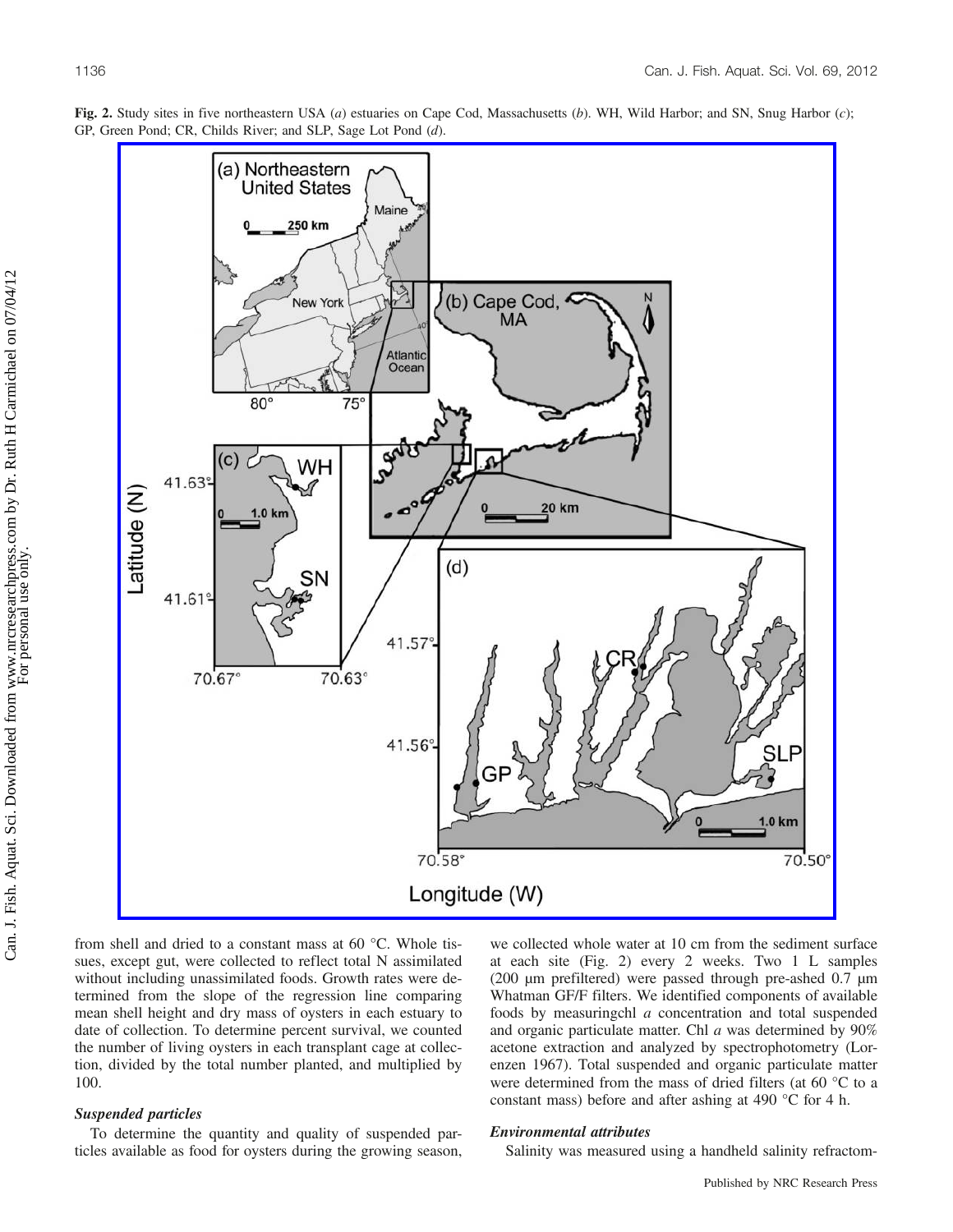

Fig. 2. Study sites in five northeastern USA (a) estuaries on Cape Cod, Massachusetts (b). WH, Wild Harbor; and SN, Snug Harbor (c); GP, Green Pond; CR, Childs River; and SLP, Sage Lot Pond (d).

from shell and dried to a constant mass at 60 °C. Whole tissues, except gut, were collected to reflect total N assimilated without including unassimilated foods. Growth rates were determined from the slope of the regression line comparing mean shell height and dry mass of oysters in each estuary to date of collection. To determine percent survival, we counted the number of living oysters in each transplant cage at collection, divided by the total number planted, and multiplied by 100.

#### Suspended particles

To determine the quantity and quality of suspended particles available as food for oysters during the growing season,

#### Environmental attributes

Salinity was measured using a handheld salinity refractom-

we collected whole water at 10 cm from the sediment surface at each site (Fig. 2) every 2 weeks. Two 1 L samples (200 µm prefiltered) were passed through pre-ashed 0.7 µm Whatman GF/F filters. We identified components of available foods by measuringchl a concentration and total suspended and organic particulate matter. Chl a was determined by 90% acetone extraction and analyzed by spectrophotometry (Lorenzen 1967). Total suspended and organic particulate matter were determined from the mass of dried filters (at 60 °C to a constant mass) before and after ashing at 490 °C for 4 h.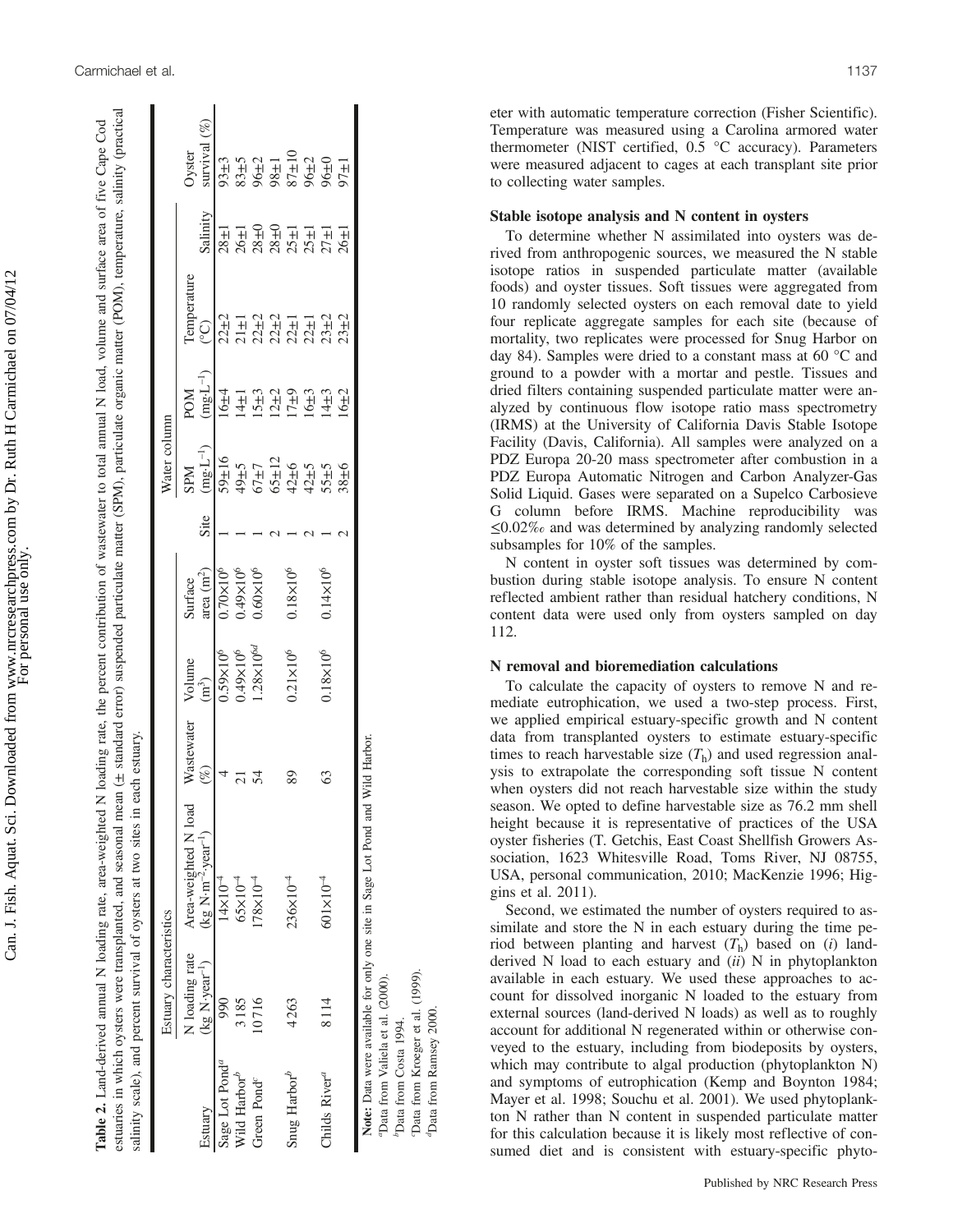| ļ<br>$\frac{1}{2}$<br>i<br>; |  |
|------------------------------|--|
| $\frac{1}{2}$<br>j<br>i      |  |

Table 2. Land-derived annual N loading rate, area-weighted N loading rate, the percent contribution of wastewater to total annual N load, volume and surface area of five Cape Cod

Land-derived annual N loading rate, area-weighted N loading rate, the percent contribution of wastewater to total annual N load, volume and surface area of five Cape Cod

|                                 |                                        | estuaries in which oysters were transplanted, and seasonal mean (± standard error) suspended particulate matter (SPM), particulate organic matter (POM), temperature, salinity (practical<br>salinity scale), and percent survival of oysters at two sites in $\epsilon$ | each estuary.           |                                                                |                                                                                              |      |                                    |                            |                                                         |                          |                                                                                                                                                                                        |
|---------------------------------|----------------------------------------|--------------------------------------------------------------------------------------------------------------------------------------------------------------------------------------------------------------------------------------------------------------------------|-------------------------|----------------------------------------------------------------|----------------------------------------------------------------------------------------------|------|------------------------------------|----------------------------|---------------------------------------------------------|--------------------------|----------------------------------------------------------------------------------------------------------------------------------------------------------------------------------------|
|                                 | Estuary characteristics                |                                                                                                                                                                                                                                                                          |                         |                                                                |                                                                                              |      | Vater column                       |                            |                                                         |                          |                                                                                                                                                                                        |
| Estuary                         | $(\text{kg N} \cdot \text{year}^{-1})$ | N loading rate Area-weighted N load<br>$(kg N·m-2·year-1)$                                                                                                                                                                                                               | $N$ astewater<br>$(\%)$ | $\begin{pmatrix} V_{\text{clume}} \\ \text{m}^3 \end{pmatrix}$ | Surface                                                                                      | Site | ${\rm SPM} \over {\rm (mgL^{-1})}$ | $(mg \cdot L^{-1})$<br>MOd | <b>Temperature</b><br>င္                                | Salinity                 | survival $(\%)$<br>Oyster                                                                                                                                                              |
| Sage Lot Pond <sup>a</sup>      | 990                                    | $14 \times 10^{-4}$                                                                                                                                                                                                                                                      |                         | $0.59 \times 10^{6}$                                           | $\frac{\text{area (m}^2)}{0.70 \times 10^6}$<br>0.49×10 <sup>6</sup><br>0.60×10 <sup>6</sup> |      |                                    | $16 + 4$                   |                                                         |                          |                                                                                                                                                                                        |
| Wild Harbor <sup>b</sup>        | 3185                                   | $65\times10^{-4}$                                                                                                                                                                                                                                                        |                         | $0.49 \times 10^{6}$                                           |                                                                                              |      |                                    |                            | 2 1 2 2 1 1 2 2<br>4 4 4 4 4 4 4 4<br>2 3 2 2 2 2 2 2 2 | $2888888877788888877788$ | $\begin{array}{cccc}\n 3.83 & 8 & 8 & 8 & 8 & 8 & 8 \\ 7 & 4 & 1 & 1 & 1 & 1 & 1 \\ 7 & 1 & 1 & 1 & 1 & 1 & 1 \\ 8 & 1 & 1 & 1 & 1 & 1 & 1 \\ 9 & 1 & 1 & 1 & 1 & 1 & 1\n \end{array}$ |
| Green Pond <sup>c</sup>         | 10716                                  | $78\times10^{-4}$                                                                                                                                                                                                                                                        |                         | $1.28 \times 10^{6d}$                                          |                                                                                              |      |                                    |                            |                                                         |                          |                                                                                                                                                                                        |
|                                 |                                        |                                                                                                                                                                                                                                                                          |                         |                                                                |                                                                                              |      |                                    |                            |                                                         |                          |                                                                                                                                                                                        |
| Snug Harbor <sup><i>b</i></sup> | 4263                                   | 236×10 <sup>-4</sup>                                                                                                                                                                                                                                                     | 89                      | $0.21 \times 10^{6}$                                           | $0.18\times10^{6}$                                                                           |      |                                    |                            |                                                         |                          |                                                                                                                                                                                        |
|                                 |                                        |                                                                                                                                                                                                                                                                          |                         |                                                                |                                                                                              |      |                                    |                            |                                                         |                          |                                                                                                                                                                                        |
| Childs River <sup>a</sup>       | 8114                                   | $601\times10^{-4}$                                                                                                                                                                                                                                                       | ග                       | $0.18\times10^{6}$                                             | $0.14 \times 10^{6}$                                                                         |      |                                    |                            |                                                         |                          |                                                                                                                                                                                        |
|                                 |                                        |                                                                                                                                                                                                                                                                          |                         |                                                                |                                                                                              |      |                                    |                            |                                                         |                          |                                                                                                                                                                                        |

Note: Data were available for only one site in Sage Lot Pond and Wild Harbor.<br>"Data from Valiela et al. (2000). Note: Data were available for only one site in Sage Lot Pond and Wild Harbor

"Data from Valiela et al. (2000).

Data from Kroeger et al. (1999). cData from Kroeger et al. (1999). Data from Ramsey 2000. Data from Costa 1994. bData from Costa 1994.

dData from Ramsey 2000.

eter with automatic temperature correction (Fisher Scientific). Temperature was measured using a Carolina armored water thermometer (NIST certified, 0.5 °C accuracy). Parameters were measured adjacent to cages at each transplant site prior to collecting water samples.

### Stable isotope analysis and N content in oysters

To determine whether N assimilated into oysters was derived from anthropogenic sources, we measured the N stable isotope ratios in suspended particulate matter (available foods) and oyster tissues. Soft tissues were aggregated from 10 randomly selected oysters on each removal date to yield four replicate aggregate samples for each site (because of mortality, two replicates were processed for Snug Harbor on day 84). Samples were dried to a constant mass at 60 °C and ground to a powder with a mortar and pestle. Tissues and dried filters containing suspended particulate matter were analyzed by continuous flow isotope ratio mass spectrometry (IRMS) at the University of California Davis Stable Isotope Facility (Davis, California). All samples were analyzed on a PDZ Europa 20-20 mass spectrometer after combustion in a PDZ Europa Automatic Nitrogen and Carbon Analyzer-Gas Solid Liquid. Gases were separated on a Supelco Carbosieve G column before IRMS. Machine reproducibility was ≤0.02‰ and was determined by analyzing randomly selected subsamples for 10% of the samples.

N content in oyster soft tissues was determined by combustion during stable isotope analysis. To ensure N content reflected ambient rather than residual hatchery conditions, N content data were used only from oysters sampled on day 112.

### N removal and bioremediation calculations

To calculate the capacity of oysters to remove N and remediate eutrophication, we used a two-step process. First, we applied empirical estuary-specific growth and N content data from transplanted oysters to estimate estuary-specific times to reach harvestable size  $(T_h)$  and used regression analysis to extrapolate the corresponding soft tissue N content when oysters did not reach harvestable size within the study season. We opted to define harvestable size as 76.2 mm shell height because it is representative of practices of the USA oyster fisheries (T. Getchis, East Coast Shellfish Growers Association, 1623 Whitesville Road, Toms River, NJ 08755, USA, personal communication, 2010; MacKenzie 1996; Higgins et al. 2011).

Second, we estimated the number of oysters required to assimilate and store the N in each estuary during the time period between planting and harvest  $(T_h)$  based on (i) landderived  $N$  load to each estuary and  $(ii)$   $N$  in phytoplankton available in each estuary. We used these approaches to account for dissolved inorganic N loaded to the estuary from external sources (land-derived N loads) as well as to roughly account for additional N regenerated within or otherwise conveyed to the estuary, including from biodeposits by oysters, which may contribute to algal production (phytoplankton N) and symptoms of eutrophication (Kemp and Boynton 1984; Mayer et al. 1998; Souchu et al. 2001). We used phytoplankton N rather than N content in suspended particulate matter for this calculation because it is likely most reflective of consumed diet and is consistent with estuary-specific phyto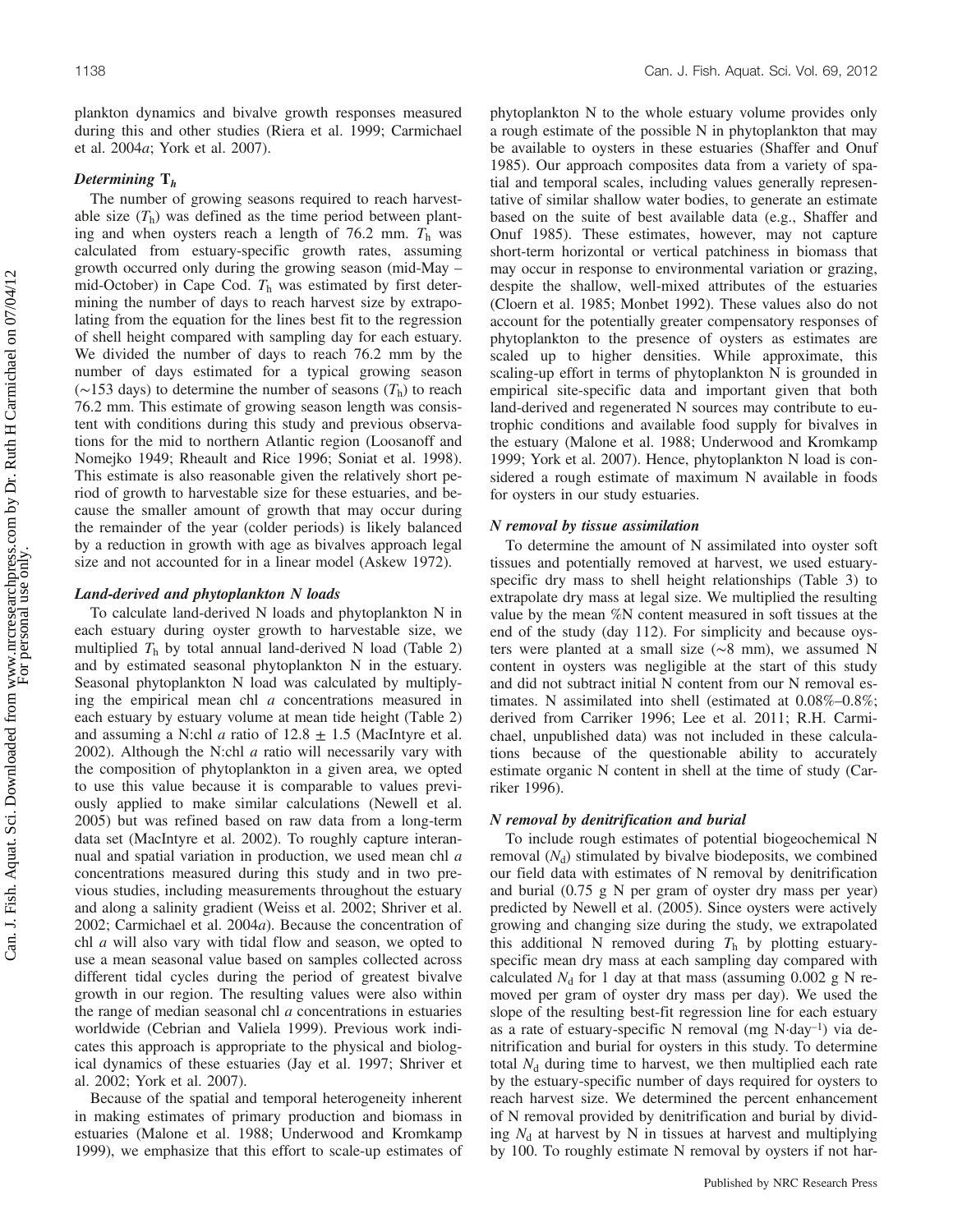plankton dynamics and bivalve growth responses measured during this and other studies (Riera et al. 1999; Carmichael et al. 2004a; York et al. 2007).

#### Determining  $T_h$

The number of growing seasons required to reach harvestable size  $(T_h)$  was defined as the time period between planting and when oysters reach a length of  $76.2$  mm.  $T<sub>h</sub>$  was calculated from estuary-specific growth rates, assuming growth occurred only during the growing season (mid-May – mid-October) in Cape Cod.  $T<sub>h</sub>$  was estimated by first determining the number of days to reach harvest size by extrapolating from the equation for the lines best fit to the regression of shell height compared with sampling day for each estuary. We divided the number of days to reach 76.2 mm by the number of days estimated for a typical growing season  $(\sim 153 \text{ days})$  to determine the number of seasons  $(T_h)$  to reach 76.2 mm. This estimate of growing season length was consistent with conditions during this study and previous observations for the mid to northern Atlantic region (Loosanoff and Nomejko 1949; Rheault and Rice 1996; Soniat et al. 1998). This estimate is also reasonable given the relatively short period of growth to harvestable size for these estuaries, and because the smaller amount of growth that may occur during the remainder of the year (colder periods) is likely balanced by a reduction in growth with age as bivalves approach legal size and not accounted for in a linear model (Askew 1972).

### Land-derived and phytoplankton N loads

To calculate land-derived N loads and phytoplankton N in each estuary during oyster growth to harvestable size, we multiplied  $T<sub>h</sub>$  by total annual land-derived N load (Table 2) and by estimated seasonal phytoplankton N in the estuary. Seasonal phytoplankton N load was calculated by multiplying the empirical mean chl  $a$  concentrations measured in each estuary by estuary volume at mean tide height (Table 2) and assuming a N:chl *a* ratio of  $12.8 \pm 1.5$  (MacIntyre et al. 2002). Although the N:chl  $a$  ratio will necessarily vary with the composition of phytoplankton in a given area, we opted to use this value because it is comparable to values previously applied to make similar calculations (Newell et al. 2005) but was refined based on raw data from a long-term data set (MacIntyre et al. 2002). To roughly capture interannual and spatial variation in production, we used mean chl a concentrations measured during this study and in two previous studies, including measurements throughout the estuary and along a salinity gradient (Weiss et al. 2002; Shriver et al. 2002; Carmichael et al. 2004a). Because the concentration of chl a will also vary with tidal flow and season, we opted to use a mean seasonal value based on samples collected across different tidal cycles during the period of greatest bivalve growth in our region. The resulting values were also within the range of median seasonal chl  $a$  concentrations in estuaries worldwide (Cebrian and Valiela 1999). Previous work indicates this approach is appropriate to the physical and biological dynamics of these estuaries (Jay et al. 1997; Shriver et al. 2002; York et al. 2007).

Because of the spatial and temporal heterogeneity inherent in making estimates of primary production and biomass in estuaries (Malone et al. 1988; Underwood and Kromkamp 1999), we emphasize that this effort to scale-up estimates of phytoplankton N to the whole estuary volume provides only a rough estimate of the possible N in phytoplankton that may be available to oysters in these estuaries (Shaffer and Onuf 1985). Our approach composites data from a variety of spatial and temporal scales, including values generally representative of similar shallow water bodies, to generate an estimate based on the suite of best available data (e.g., Shaffer and Onuf 1985). These estimates, however, may not capture short-term horizontal or vertical patchiness in biomass that may occur in response to environmental variation or grazing, despite the shallow, well-mixed attributes of the estuaries (Cloern et al. 1985; Monbet 1992). These values also do not account for the potentially greater compensatory responses of phytoplankton to the presence of oysters as estimates are scaled up to higher densities. While approximate, this scaling-up effort in terms of phytoplankton N is grounded in empirical site-specific data and important given that both land-derived and regenerated N sources may contribute to eutrophic conditions and available food supply for bivalves in the estuary (Malone et al. 1988; Underwood and Kromkamp 1999; York et al. 2007). Hence, phytoplankton N load is considered a rough estimate of maximum N available in foods for oysters in our study estuaries.

#### N removal by tissue assimilation

To determine the amount of N assimilated into oyster soft tissues and potentially removed at harvest, we used estuaryspecific dry mass to shell height relationships (Table 3) to extrapolate dry mass at legal size. We multiplied the resulting value by the mean %N content measured in soft tissues at the end of the study (day 112). For simplicity and because oysters were planted at a small size (∼8 mm), we assumed N content in oysters was negligible at the start of this study and did not subtract initial N content from our N removal estimates. N assimilated into shell (estimated at 0.08%–0.8%; derived from Carriker 1996; Lee et al. 2011; R.H. Carmichael, unpublished data) was not included in these calculations because of the questionable ability to accurately estimate organic N content in shell at the time of study (Carriker 1996).

#### N removal by denitrification and burial

To include rough estimates of potential biogeochemical N removal  $(N_d)$  stimulated by bivalve biodeposits, we combined our field data with estimates of N removal by denitrification and burial (0.75 g N per gram of oyster dry mass per year) predicted by Newell et al. (2005). Since oysters were actively growing and changing size during the study, we extrapolated this additional N removed during  $T<sub>h</sub>$  by plotting estuaryspecific mean dry mass at each sampling day compared with calculated  $N_d$  for 1 day at that mass (assuming 0.002 g N removed per gram of oyster dry mass per day). We used the slope of the resulting best-fit regression line for each estuary as a rate of estuary-specific N removal (mg  $N \cdot day^{-1}$ ) via denitrification and burial for oysters in this study. To determine total  $N_d$  during time to harvest, we then multiplied each rate by the estuary-specific number of days required for oysters to reach harvest size. We determined the percent enhancement of N removal provided by denitrification and burial by dividing  $N_d$  at harvest by N in tissues at harvest and multiplying by 100. To roughly estimate N removal by oysters if not har-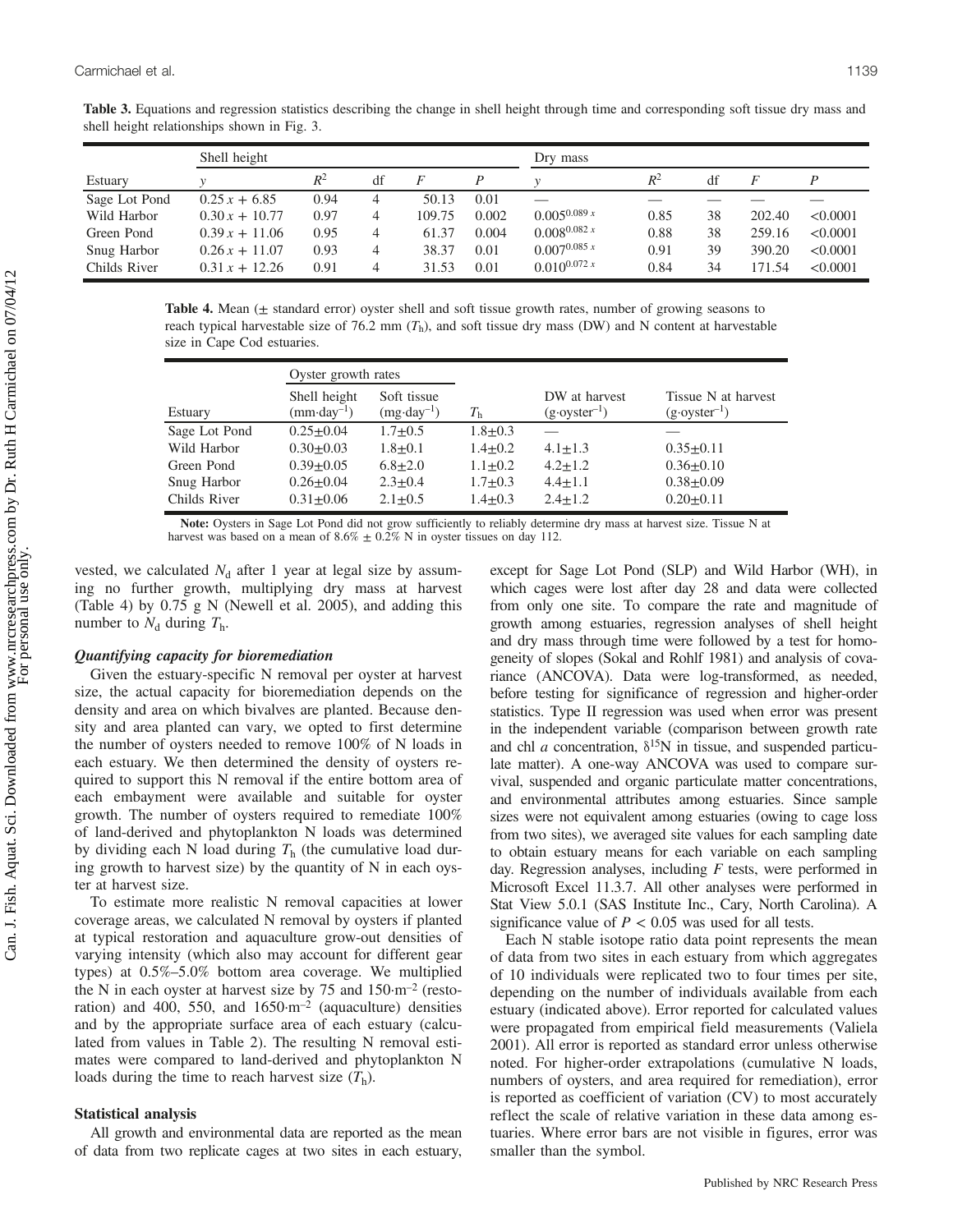Table 3. Equations and regression statistics describing the change in shell height through time and corresponding soft tissue dry mass and shell height relationships shown in Fig. 3.

|               | Shell height     |       |                |        |       | Dry mass           |       |    |        |          |
|---------------|------------------|-------|----------------|--------|-------|--------------------|-------|----|--------|----------|
| Estuary       |                  | $R^2$ | df             |        |       |                    | $R^2$ | df | F      | P        |
| Sage Lot Pond | $0.25 x + 6.85$  | 0.94  | 4              | 50.13  | 0.01  |                    |       |    |        |          |
| Wild Harbor   | $0.30 x + 10.77$ | 0.97  | $\overline{4}$ | 109.75 | 0.002 | $0.005^{0.089 x}$  | 0.85  | 38 | 202.40 | < 0.0001 |
| Green Pond    | $0.39x + 11.06$  | 0.95  | $\overline{4}$ | 61.37  | 0.004 | $0.008^{0.082 x}$  | 0.88  | 38 | 259.16 | < 0.0001 |
| Snug Harbor   | $0.26 x + 11.07$ | 0.93  | 4              | 38.37  | 0.01  | $0.007^{0.085\ x}$ | 0.91  | 39 | 390.20 | < 0.0001 |
| Childs River  | $0.31 x + 12.26$ | 0.91  | 4              | 31.53  | 0.01  | $0.010^{0.072 x}$  | 0.84  | 34 | 171.54 | < 0.0001 |

**Table 4.** Mean  $(\pm$  standard error) oyster shell and soft tissue growth rates, number of growing seasons to reach typical harvestable size of 76.2 mm  $(T_h)$ , and soft tissue dry mass (DW) and N content at harvestable size in Cape Cod estuaries.

|               | Oyster growth rates                   |                                      |               |                                           |                                                 |
|---------------|---------------------------------------|--------------------------------------|---------------|-------------------------------------------|-------------------------------------------------|
| Estuary       | Shell height<br>$(mm \cdot day^{-1})$ | Soft tissue<br>$(mg \cdot day^{-1})$ | $T_{\rm h}$   | DW at harvest<br>$(g\text{-}oyster^{-1})$ | Tissue N at harvest<br>$(g\text{-}oyster^{-1})$ |
| Sage Lot Pond | $0.25 + 0.04$                         | $1.7 + 0.5$                          | $1.8 + 0.3$   |                                           |                                                 |
| Wild Harbor   | $0.30 \pm 0.03$                       | $1.8 + 0.1$                          | $1.4 \pm 0.2$ | $4.1 \pm 1.3$                             | $0.35 + 0.11$                                   |
| Green Pond    | $0.39 \pm 0.05$                       | $6.8 \pm 2.0$                        | $1.1 \pm 0.2$ | $4.2 \pm 1.2$                             | $0.36 \pm 0.10$                                 |
| Snug Harbor   | $0.26 + 0.04$                         | $2.3 \pm 0.4$                        | $1.7 + 0.3$   | $4.4 \pm 1.1$                             | $0.38 \pm 0.09$                                 |
| Childs River  | $0.31 + 0.06$                         | $2.1 \pm 0.5$                        | $1.4 + 0.3$   | $2.4 + 1.2$                               | $0.20 \pm 0.11$                                 |

Note: Oysters in Sage Lot Pond did not grow sufficiently to reliably determine dry mass at harvest size. Tissue N at harvest was based on a mean of  $8.6\% \pm 0.2\%$  N in oyster tissues on day 112.

vested, we calculated  $N_d$  after 1 year at legal size by assuming no further growth, multiplying dry mass at harvest (Table 4) by 0.75 g N (Newell et al. 2005), and adding this number to  $N_d$  during  $T_h$ .

#### Quantifying capacity for bioremediation

Given the estuary-specific N removal per oyster at harvest size, the actual capacity for bioremediation depends on the density and area on which bivalves are planted. Because density and area planted can vary, we opted to first determine the number of oysters needed to remove 100% of N loads in each estuary. We then determined the density of oysters required to support this N removal if the entire bottom area of each embayment were available and suitable for oyster growth. The number of oysters required to remediate 100% of land-derived and phytoplankton N loads was determined by dividing each N load during  $T<sub>h</sub>$  (the cumulative load during growth to harvest size) by the quantity of N in each oyster at harvest size.

To estimate more realistic N removal capacities at lower coverage areas, we calculated N removal by oysters if planted at typical restoration and aquaculture grow-out densities of varying intensity (which also may account for different gear types) at 0.5%–5.0% bottom area coverage. We multiplied the N in each oyster at harvest size by  $75$  and  $150 \cdot m^{-2}$  (restoration) and 400, 550, and 1650·m–<sup>2</sup> (aquaculture) densities and by the appropriate surface area of each estuary (calculated from values in Table 2). The resulting N removal estimates were compared to land-derived and phytoplankton N loads during the time to reach harvest size  $(T_h)$ .

#### Statistical analysis

All growth and environmental data are reported as the mean of data from two replicate cages at two sites in each estuary,

except for Sage Lot Pond (SLP) and Wild Harbor (WH), in which cages were lost after day 28 and data were collected from only one site. To compare the rate and magnitude of growth among estuaries, regression analyses of shell height and dry mass through time were followed by a test for homogeneity of slopes (Sokal and Rohlf 1981) and analysis of covariance (ANCOVA). Data were log-transformed, as needed, before testing for significance of regression and higher-order statistics. Type II regression was used when error was present in the independent variable (comparison between growth rate and chl *a* concentration,  $\delta^{15}N$  in tissue, and suspended particulate matter). A one-way ANCOVA was used to compare survival, suspended and organic particulate matter concentrations, and environmental attributes among estuaries. Since sample sizes were not equivalent among estuaries (owing to cage loss from two sites), we averaged site values for each sampling date to obtain estuary means for each variable on each sampling day. Regression analyses, including  $F$  tests, were performed in Microsoft Excel 11.3.7. All other analyses were performed in Stat View 5.0.1 (SAS Institute Inc., Cary, North Carolina). A significance value of  $P < 0.05$  was used for all tests.

Each N stable isotope ratio data point represents the mean of data from two sites in each estuary from which aggregates of 10 individuals were replicated two to four times per site, depending on the number of individuals available from each estuary (indicated above). Error reported for calculated values were propagated from empirical field measurements (Valiela 2001). All error is reported as standard error unless otherwise noted. For higher-order extrapolations (cumulative N loads, numbers of oysters, and area required for remediation), error is reported as coefficient of variation (CV) to most accurately reflect the scale of relative variation in these data among estuaries. Where error bars are not visible in figures, error was smaller than the symbol.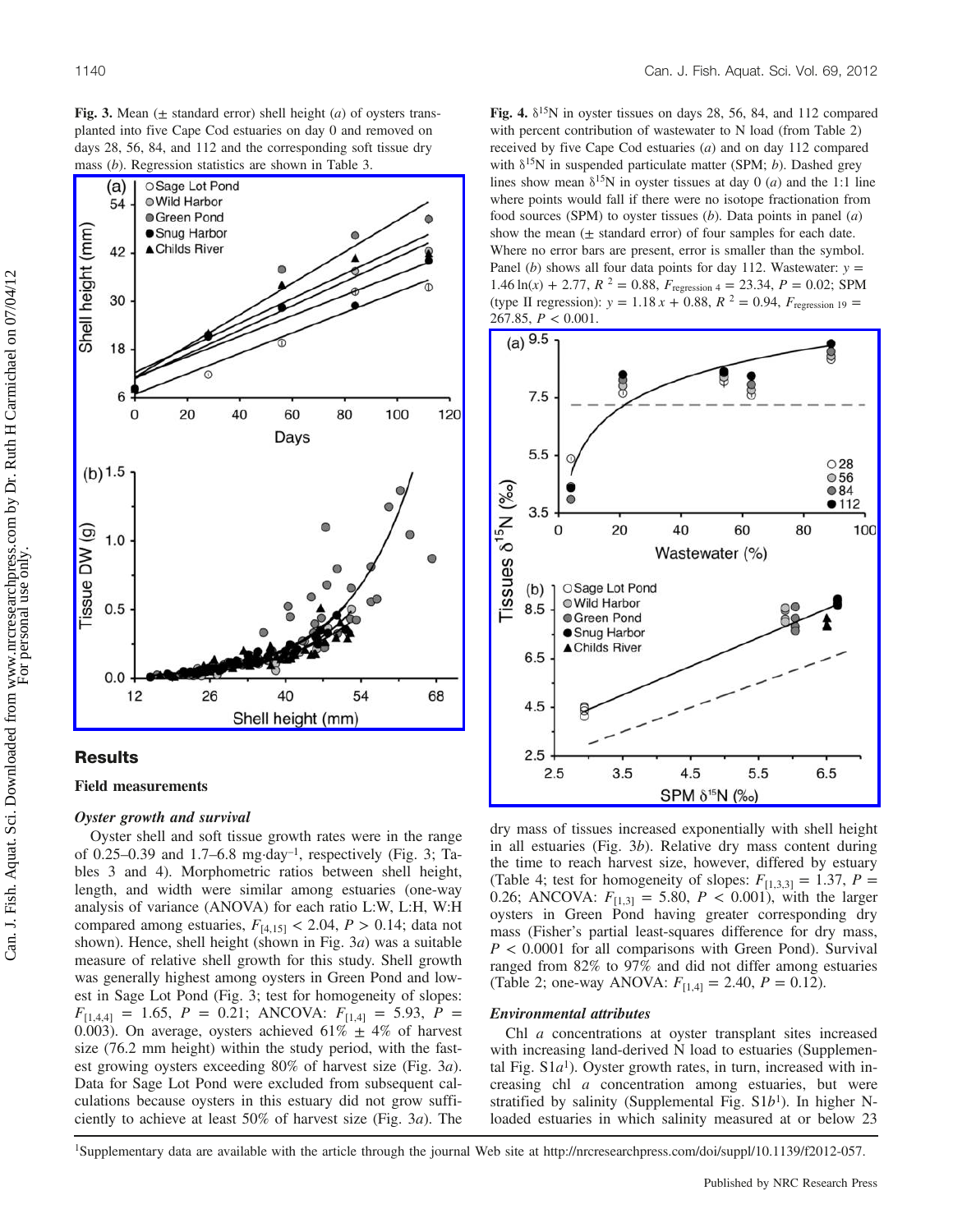Fig. 3. Mean ( $\pm$  standard error) shell height (a) of oysters transplanted into five Cape Cod estuaries on day 0 and removed on days 28, 56, 84, and 112 and the corresponding soft tissue dry mass (b). Regression statistics are shown in Table 3.



## Results

### Field measurements

#### Oyster growth and survival

Oyster shell and soft tissue growth rates were in the range of 0.25–0.39 and 1.7–6.8 mg·day–1, respectively (Fig. 3; Tables 3 and 4). Morphometric ratios between shell height, length, and width were similar among estuaries (one-way analysis of variance (ANOVA) for each ratio L:W, L:H, W:H compared among estuaries,  $F_{[4,15]} < 2.04$ ,  $P > 0.14$ ; data not shown). Hence, shell height (shown in Fig. 3a) was a suitable measure of relative shell growth for this study. Shell growth was generally highest among oysters in Green Pond and lowest in Sage Lot Pond (Fig. 3; test for homogeneity of slopes:  $F_{[1,4,4]} = 1.65, P = 0.21; ANCOVA: F_{[1,4]} = 5.93, P =$ 0.003). On average, oysters achieved  $61\% \pm 4\%$  of harvest size (76.2 mm height) within the study period, with the fastest growing oysters exceeding 80% of harvest size (Fig. 3a). Data for Sage Lot Pond were excluded from subsequent calculations because oysters in this estuary did not grow sufficiently to achieve at least 50% of harvest size (Fig. 3a). The Fig. 4.  $\delta^{15}N$  in oyster tissues on days 28, 56, 84, and 112 compared with percent contribution of wastewater to N load (from Table 2) received by five Cape Cod estuaries (a) and on day 112 compared with  $\delta^{15}N$  in suspended particulate matter (SPM; b). Dashed grey lines show mean  $\delta^{15}N$  in oyster tissues at day 0 (*a*) and the 1:1 line where points would fall if there were no isotope fractionation from food sources (SPM) to oyster tissues  $(b)$ . Data points in panel  $(a)$ show the mean  $(\pm$  standard error) of four samples for each date. Where no error bars are present, error is smaller than the symbol. Panel (b) shows all four data points for day 112. Wastewater:  $y =$ 1.46  $ln(x)$  + 2.77,  $R^2$  = 0.88,  $F_{regression 4}$  = 23.34,  $P = 0.02$ ; SPM (type II regression):  $y = 1.18 x + 0.88$ ,  $R^2 = 0.94$ ,  $F_{\text{regression 19}} =$ 267.85,  $P < 0.001$ .



dry mass of tissues increased exponentially with shell height in all estuaries (Fig. 3b). Relative dry mass content during the time to reach harvest size, however, differed by estuary (Table 4; test for homogeneity of slopes:  $F_{[1,3,3]} = 1.37$ ,  $P =$ 0.26; ANCOVA:  $F_{[1,3]} = 5.80, P < 0.001$ , with the larger oysters in Green Pond having greater corresponding dry mass (Fisher's partial least-squares difference for dry mass,  $P < 0.0001$  for all comparisons with Green Pond). Survival ranged from 82% to 97% and did not differ among estuaries (Table 2; one-way ANOVA:  $F_{[1,4]} = 2.40$ ,  $P = 0.12$ ).

#### Environmental attributes

Chl a concentrations at oyster transplant sites increased with increasing land-derived N load to estuaries (Supplemental Fig.  $S1a<sup>1</sup>$ ). Oyster growth rates, in turn, increased with increasing chl a concentration among estuaries, but were stratified by salinity (Supplemental Fig.  $S1b<sup>1</sup>$ ). In higher Nloaded estuaries in which salinity measured at or below 23

1Supplementary data are available with the article through the journal Web site at http://nrcresearchpress.com/doi/suppl/10.1139/f2012-057.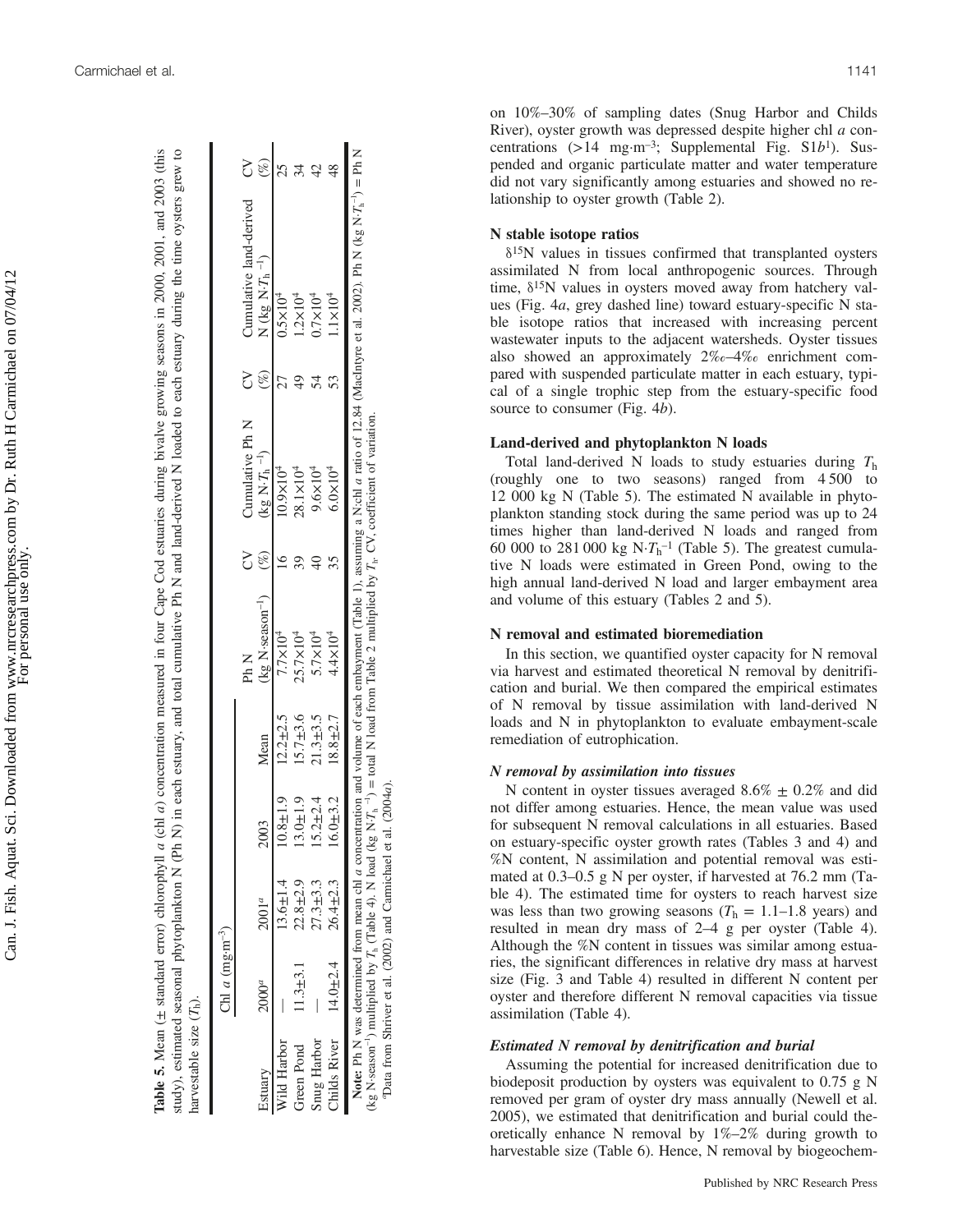|              | Chl a $(mg \cdot m^{-3})$ |                   |                       |                |                                        |        |                              |        |                                |                |
|--------------|---------------------------|-------------------|-----------------------|----------------|----------------------------------------|--------|------------------------------|--------|--------------------------------|----------------|
|              |                           |                   |                       |                | Ph N                                   |        | Cumulative Ph N              |        | Cumulative land-derived        |                |
| Estuary      | $2000^a$                  | 2001 <sup>a</sup> | 2003                  | Mean           | $(kg$ N $\cdot$ season <sup>-1</sup> ) | $(\%)$ | (kg N- $T_h$ <sup>-1</sup> ) | $(\%)$ | N (kg N· $T_h$ <sup>-1</sup> ) | $(\%)$         |
| Wild Harbor  |                           | $13.6 + 1.4$      | $10.8 + 1.9$          | $12.2 + 2.5$   | $7.7\times10^{4}$                      |        | $10.9\times10^{4}$           |        | $0.5 \times 10^{4}$            |                |
| Green Pond   | $11.3 + 3.1$              | $22.8 \pm 2.9$    | $13.0 + 1.9$          | $15.7 \pm 3.6$ | 25.7×10 <sup>4</sup>                   |        | $28.1 \times 10^{4}$         |        | $1.2 \times 10^{4}$            | $\frac{34}{5}$ |
| Snug Harbor  |                           | $27.3 + 3.3$      | $15.2 \pm 2.4$        | $21.3 + 3.5$   | $5.7 \times 10^{4}$                    |        | $9.6 \times 10^{4}$          |        | $0.7\times10^{4}$              | 42             |
| Childs River | $14.0 + 2.4$              | $26.4 + 2.3$      | $\pm 3.2$<br>0.6<br>ا | $18.8 + 2.7$   | $4.4 \times 10^{4}$                    |        | $6.0\times10^{4}$            | 53     | $1\times10^4$                  |                |

on 10% –30% of sampling dates (Snug Harbor and Childs River), oyster growth was depressed despite higher chl a concentrations (>14 mg·m<sup>-3</sup>; Supplemental Fig. S1 $b$ <sup>1</sup>). Suspended and organic particulate matter and water temperature did not vary significantly among estuaries and showed no relationship to oyster growth (Table 2).

**N stable isotope ratios** d15N values in tissues confirmed that transplanted oysters assimilated N from local anthropogenic sources. Through time,  $\delta^{15}N$  values in oysters moved away from hatchery values (Fig. 4a, grey dashed line) toward estuary-specific N stable isotope ratios that increased with increasing percent wastewater inputs to the adjacent watersheds. Oyster tissues also showed an approximately 2‰– 4 ‰ enrichment compared with suspended particulate matter in each estuary, typical of a single trophic step from the estuary-specific food source to consumer (Fig. 4b).

#### Land-derived and phytoplankton N loads

Total land-derived N loads to study estuaries during  $T<sub>h</sub>$ (roughly one to two seasons) ranged from 4 500 to 12 000 kg N (Table 5). The estimated N available in phytoplankton standing stock during the same period was up to 24 times higher than land-derived N loads and ranged from 60 000 to 281 000 kg  $N \cdot T_h^{-1}$  (Table 5). The greatest cumulative N loads were estimated in Green Pond, owing to the high annual land-derived N load and larger embayment area and volume of this estuary (Tables 2 and 5).

#### N removal and estimated bioremediation

In this section, we quantified oyster capacity for N removal via harvest and estimated theoretical N removal by denitrification and burial. We then compared the empirical estimates of N removal by tissue assimilation with land-derived N loads and N in phytoplankton to evaluate embayment-scale remediation of eutrophication.

#### N removal by assimilation into tissues

N content in oyster tissues averaged  $8.6\% \pm 0.2\%$  and did not differ among estuaries. Hence, the mean value was used for subsequent N removal calculations in all estuaries. Based on estuary-specific oyster growth rates (Tables 3 and 4) and %N content, N assimilation and potential removal was estimated at 0.3–0.5 g N per oyster, if harvested at 76.2 mm (Table 4). The estimated time for oysters to reach harvest size was less than two growing seasons  $(T<sub>h</sub> = 1.1-1.8$  years) and resulted in mean dry mass of 2 –4 g per oyster (Table 4). Although the %N content in tissues was similar among estuaries, the significant differences in relative dry mass at harvest size (Fig. 3 and Table 4) resulted in different N content per oyster and therefore different N removal capacities via tissue assimilation (Table 4).

#### Estimated N removal by denitrification and burial

Assuming the potential for increased denitrification due to biodeposit production by oysters was equivalent to 0.75 g N removed per gram of oyster dry mass annually (Newell et al. 2005), we estimated that denitrification and burial could theoretically enhance N removal by 1%–2% during growth to harvestable size (Table 6). Hence, N removal by biogeochem-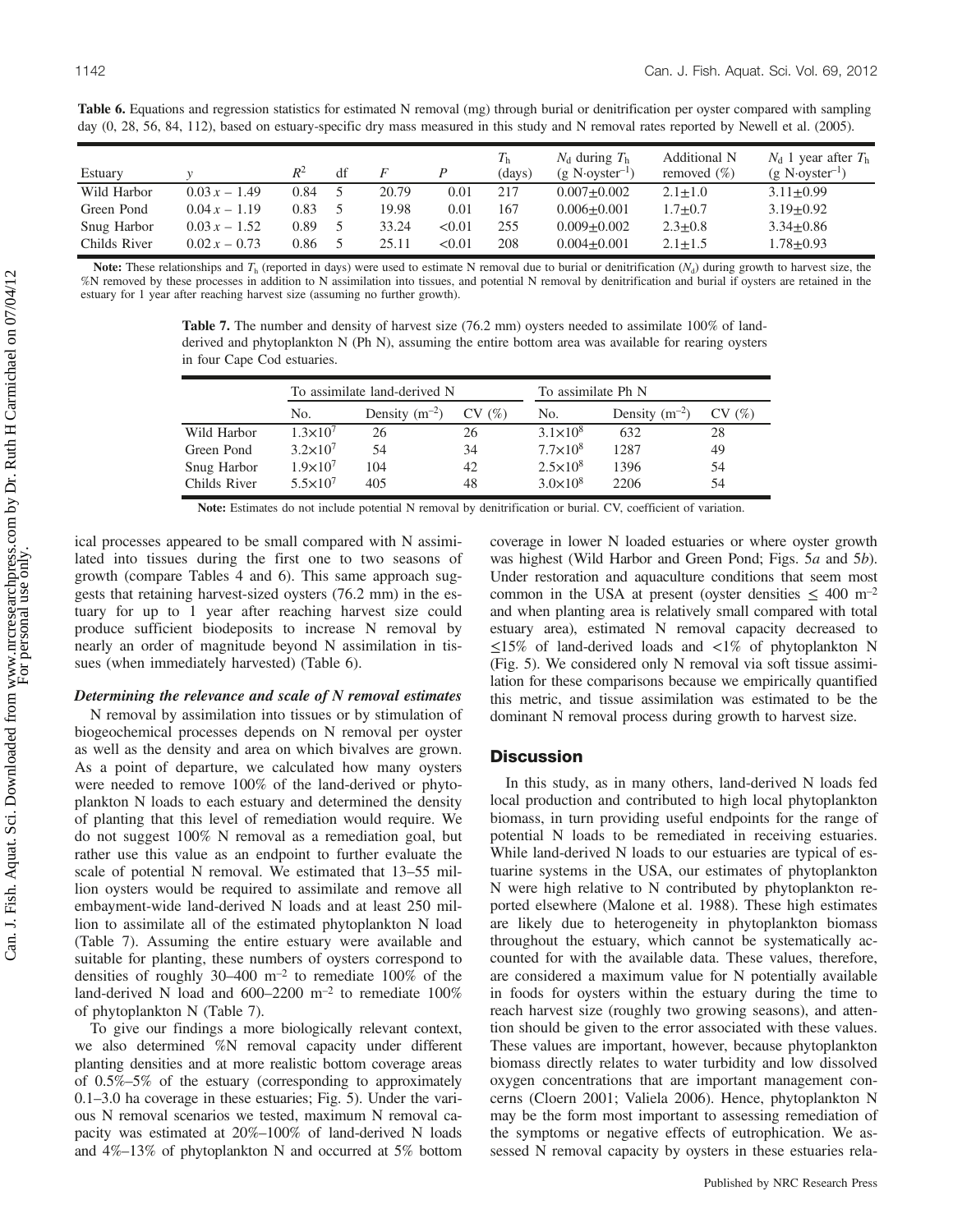Table 6. Equations and regression statistics for estimated N removal (mg) through burial or denitrification per oyster compared with sampling day (0, 28, 56, 84, 112), based on estuary-specific dry mass measured in this study and N removal rates reported by Newell et al. (2005).

| Estuary      |                 | $R^2$ | df |       |        | $T_{\rm h}$<br>(days) | $N_d$ during $T_h$<br>$(g \text{ N-ovster}^{-1})$ | Additional N<br>removed $(\%)$ | $N_d$ 1 year after $T_h$<br>$(g \text{ Noyster}^{-1})$ |
|--------------|-----------------|-------|----|-------|--------|-----------------------|---------------------------------------------------|--------------------------------|--------------------------------------------------------|
| Wild Harbor  | $0.03 x - 1.49$ | 0.84  |    | 20.79 | 0.01   | 217                   | $0.007 + 0.002$                                   | $2.1 + 1.0$                    | $3.11 \pm 0.99$                                        |
| Green Pond   | $0.04 x - 1.19$ | 0.83  |    | 19.98 | 0.01   | 167                   | $0.006 + 0.001$                                   | $1.7 + 0.7$                    | $3.19 + 0.92$                                          |
| Snug Harbor  | $0.03 x - 1.52$ | 0.89  |    | 33.24 | < 0.01 | 255                   | $0.009 + 0.002$                                   | $2.3 + 0.8$                    | $3.34 \pm 0.86$                                        |
| Childs River | $0.02 x - 0.73$ | 0.86  |    | 25.11 | < 0.01 | 208                   | $0.004 + 0.001$                                   | $2.1 \pm 1.5$                  | $1.78 \pm 0.93$                                        |

Note: These relationships and  $T<sub>h</sub>$  (reported in days) were used to estimate N removal due to burial or denitrification (N<sub>d</sub>) during growth to harvest size, the %N removed by these processes in addition to N assimilation into tissues, and potential N removal by denitrification and burial if oysters are retained in the estuary for 1 year after reaching harvest size (assuming no further growth).

Table 7. The number and density of harvest size (76.2 mm) oysters needed to assimilate 100% of landderived and phytoplankton N (Ph N), assuming the entire bottom area was available for rearing oysters in four Cape Cod estuaries.

|              |                              | To assimilate land-derived N |      | To assimilate Ph N |                    |    |
|--------------|------------------------------|------------------------------|------|--------------------|--------------------|----|
|              | No.                          | Density $(m^{-2})$           | (% ) | No.                | Density $(m^{-2})$ | (% |
| Wild Harbor  | $1.3 \times 10^{7}$          | 26                           | 26   | $3.1\times10^8$    | 632                | 28 |
| Green Pond   | $3.2\times10^7$              | 54                           | 34   | $7.7\times10^8$    | 1287               | 49 |
| Snug Harbor  | $1.9 \times 10^{7}$          | 104                          | 42   | $2.5 \times 10^8$  | 1396               | 54 |
| Childs River | 5.5 $\times$ 10 <sup>7</sup> | 405                          | 48   | $3.0 \times 10^8$  | 2206               | 54 |

Note: Estimates do not include potential N removal by denitrification or burial. CV, coefficient of variation.

ical processes appeared to be small compared with N assimilated into tissues during the first one to two seasons of growth (compare Tables 4 and 6). This same approach suggests that retaining harvest-sized oysters (76.2 mm) in the estuary for up to 1 year after reaching harvest size could produce sufficient biodeposits to increase N removal by nearly an order of magnitude beyond N assimilation in tissues (when immediately harvested) (Table 6).

#### Determining the relevance and scale of N removal estimates

N removal by assimilation into tissues or by stimulation of biogeochemical processes depends on N removal per oyster as well as the density and area on which bivalves are grown. As a point of departure, we calculated how many oysters were needed to remove 100% of the land-derived or phytoplankton N loads to each estuary and determined the density of planting that this level of remediation would require. We do not suggest 100% N removal as a remediation goal, but rather use this value as an endpoint to further evaluate the scale of potential N removal. We estimated that 13–55 million oysters would be required to assimilate and remove all embayment-wide land-derived N loads and at least 250 million to assimilate all of the estimated phytoplankton N load (Table 7). Assuming the entire estuary were available and suitable for planting, these numbers of oysters correspond to densities of roughly 30–400 m–<sup>2</sup> to remediate 100% of the land-derived N load and 600–2200 m–<sup>2</sup> to remediate 100% of phytoplankton N (Table 7).

To give our findings a more biologically relevant context, we also determined %N removal capacity under different planting densities and at more realistic bottom coverage areas of 0.5%–5% of the estuary (corresponding to approximately 0.1–3.0 ha coverage in these estuaries; Fig. 5). Under the various N removal scenarios we tested, maximum N removal capacity was estimated at 20%–100% of land-derived N loads and 4%–13% of phytoplankton N and occurred at 5% bottom coverage in lower N loaded estuaries or where oyster growth was highest (Wild Harbor and Green Pond; Figs. 5a and 5b). Under restoration and aquaculture conditions that seem most common in the USA at present (oyster densities  $\leq 400$  m<sup>-2</sup> and when planting area is relatively small compared with total estuary area), estimated N removal capacity decreased to  $\leq$ 15% of land-derived loads and  $\lt$ 1% of phytoplankton N (Fig. 5). We considered only N removal via soft tissue assimilation for these comparisons because we empirically quantified this metric, and tissue assimilation was estimated to be the dominant N removal process during growth to harvest size.

#### **Discussion**

In this study, as in many others, land-derived N loads fed local production and contributed to high local phytoplankton biomass, in turn providing useful endpoints for the range of potential N loads to be remediated in receiving estuaries. While land-derived N loads to our estuaries are typical of estuarine systems in the USA, our estimates of phytoplankton N were high relative to N contributed by phytoplankton reported elsewhere (Malone et al. 1988). These high estimates are likely due to heterogeneity in phytoplankton biomass throughout the estuary, which cannot be systematically accounted for with the available data. These values, therefore, are considered a maximum value for N potentially available in foods for oysters within the estuary during the time to reach harvest size (roughly two growing seasons), and attention should be given to the error associated with these values. These values are important, however, because phytoplankton biomass directly relates to water turbidity and low dissolved oxygen concentrations that are important management concerns (Cloern 2001; Valiela 2006). Hence, phytoplankton N may be the form most important to assessing remediation of the symptoms or negative effects of eutrophication. We assessed N removal capacity by oysters in these estuaries rela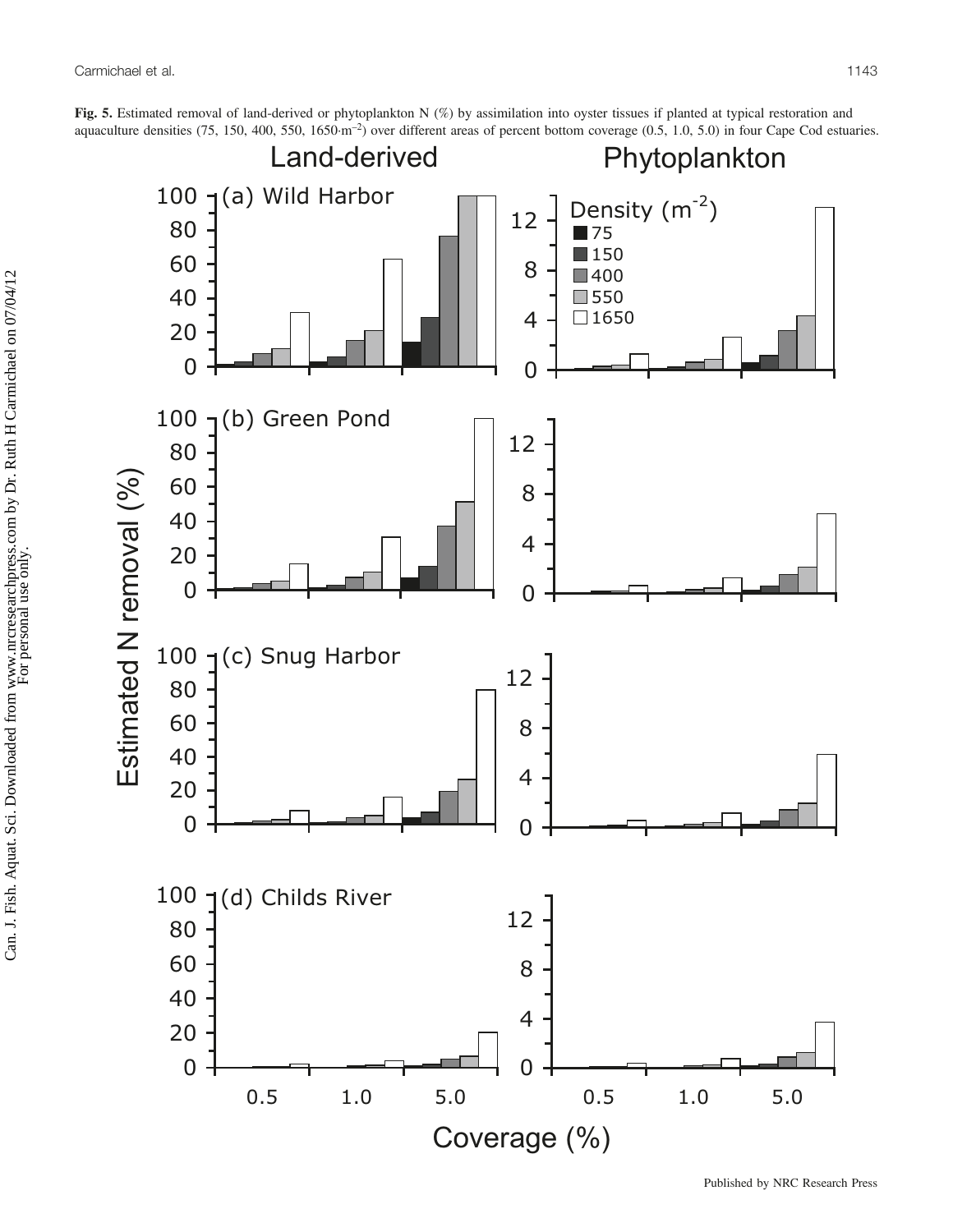Fig. 5. Estimated removal of land-derived or phytoplankton N (%) by assimilation into oyster tissues if planted at typical restoration and aquaculture densities (75, 150, 400, 550, 1650·m–2) over different areas of percent bottom coverage (0.5, 1.0, 5.0) in four Cape Cod estuaries.

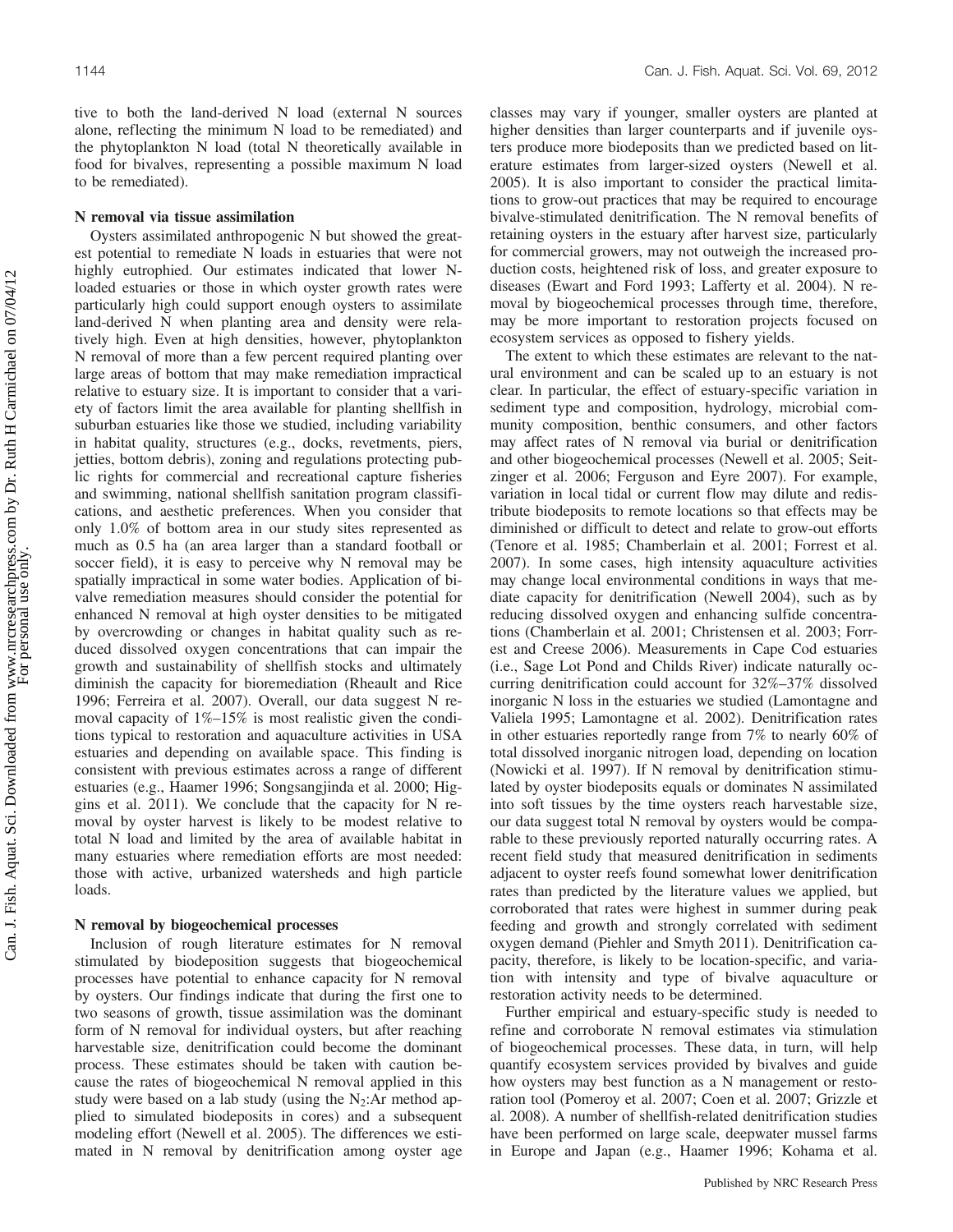tive to both the land-derived N load (external N sources alone, reflecting the minimum N load to be remediated) and the phytoplankton N load (total N theoretically available in food for bivalves, representing a possible maximum N load to be remediated).

#### N removal via tissue assimilation

Oysters assimilated anthropogenic N but showed the greatest potential to remediate N loads in estuaries that were not highly eutrophied. Our estimates indicated that lower Nloaded estuaries or those in which oyster growth rates were particularly high could support enough oysters to assimilate land-derived N when planting area and density were relatively high. Even at high densities, however, phytoplankton N removal of more than a few percent required planting over large areas of bottom that may make remediation impractical relative to estuary size. It is important to consider that a variety of factors limit the area available for planting shellfish in suburban estuaries like those we studied, including variability in habitat quality, structures (e.g., docks, revetments, piers, jetties, bottom debris), zoning and regulations protecting public rights for commercial and recreational capture fisheries and swimming, national shellfish sanitation program classifications, and aesthetic preferences. When you consider that only 1.0% of bottom area in our study sites represented as much as 0.5 ha (an area larger than a standard football or soccer field), it is easy to perceive why N removal may be spatially impractical in some water bodies. Application of bivalve remediation measures should consider the potential for enhanced N removal at high oyster densities to be mitigated by overcrowding or changes in habitat quality such as reduced dissolved oxygen concentrations that can impair the growth and sustainability of shellfish stocks and ultimately diminish the capacity for bioremediation (Rheault and Rice 1996; Ferreira et al. 2007). Overall, our data suggest N removal capacity of 1%–15% is most realistic given the conditions typical to restoration and aquaculture activities in USA estuaries and depending on available space. This finding is consistent with previous estimates across a range of different estuaries (e.g., Haamer 1996; Songsangjinda et al. 2000; Higgins et al. 2011). We conclude that the capacity for N removal by oyster harvest is likely to be modest relative to total N load and limited by the area of available habitat in many estuaries where remediation efforts are most needed: those with active, urbanized watersheds and high particle loads.

#### N removal by biogeochemical processes

Inclusion of rough literature estimates for N removal stimulated by biodeposition suggests that biogeochemical processes have potential to enhance capacity for N removal by oysters. Our findings indicate that during the first one to two seasons of growth, tissue assimilation was the dominant form of N removal for individual oysters, but after reaching harvestable size, denitrification could become the dominant process. These estimates should be taken with caution because the rates of biogeochemical N removal applied in this study were based on a lab study (using the  $N_2$ :Ar method applied to simulated biodeposits in cores) and a subsequent modeling effort (Newell et al. 2005). The differences we estimated in N removal by denitrification among oyster age

classes may vary if younger, smaller oysters are planted at higher densities than larger counterparts and if juvenile oysters produce more biodeposits than we predicted based on literature estimates from larger-sized oysters (Newell et al. 2005). It is also important to consider the practical limitations to grow-out practices that may be required to encourage bivalve-stimulated denitrification. The N removal benefits of retaining oysters in the estuary after harvest size, particularly for commercial growers, may not outweigh the increased production costs, heightened risk of loss, and greater exposure to diseases (Ewart and Ford 1993; Lafferty et al. 2004). N removal by biogeochemical processes through time, therefore, may be more important to restoration projects focused on ecosystem services as opposed to fishery yields. The extent to which these estimates are relevant to the nat-

ural environment and can be scaled up to an estuary is not clear. In particular, the effect of estuary-specific variation in sediment type and composition, hydrology, microbial community composition, benthic consumers, and other factors may affect rates of N removal via burial or denitrification and other biogeochemical processes (Newell et al. 2005; Seitzinger et al. 2006; Ferguson and Eyre 2007). For example, variation in local tidal or current flow may dilute and redistribute biodeposits to remote locations so that effects may be diminished or difficult to detect and relate to grow-out efforts (Tenore et al. 1985; Chamberlain et al. 2001; Forrest et al. 2007). In some cases, high intensity aquaculture activities may change local environmental conditions in ways that mediate capacity for denitrification (Newell 2004), such as by reducing dissolved oxygen and enhancing sulfide concentrations (Chamberlain et al. 2001; Christensen et al. 2003; Forrest and Creese 2006). Measurements in Cape Cod estuaries (i.e., Sage Lot Pond and Childs River) indicate naturally occurring denitrification could account for 32%–37% dissolved inorganic N loss in the estuaries we studied (Lamontagne and Valiela 1995; Lamontagne et al. 2002). Denitrification rates in other estuaries reportedly range from 7% to nearly 60% of total dissolved inorganic nitrogen load, depending on location (Nowicki et al. 1997). If N removal by denitrification stimulated by oyster biodeposits equals or dominates N assimilated into soft tissues by the time oysters reach harvestable size, our data suggest total N removal by oysters would be comparable to these previously reported naturally occurring rates. A recent field study that measured denitrification in sediments adjacent to oyster reefs found somewhat lower denitrification rates than predicted by the literature values we applied, but corroborated that rates were highest in summer during peak feeding and growth and strongly correlated with sediment oxygen demand (Piehler and Smyth 2011). Denitrification capacity, therefore, is likely to be location-specific, and variation with intensity and type of bivalve aquaculture or restoration activity needs to be determined.

Further empirical and estuary-specific study is needed to refine and corroborate N removal estimates via stimulation of biogeochemical processes. These data, in turn, will help quantify ecosystem services provided by bivalves and guide how oysters may best function as a N management or restoration tool (Pomeroy et al. 2007; Coen et al. 2007; Grizzle et al. 2008). A number of shellfish-related denitrification studies have been performed on large scale, deepwater mussel farms in Europe and Japan (e.g., Haamer 1996; Kohama et al.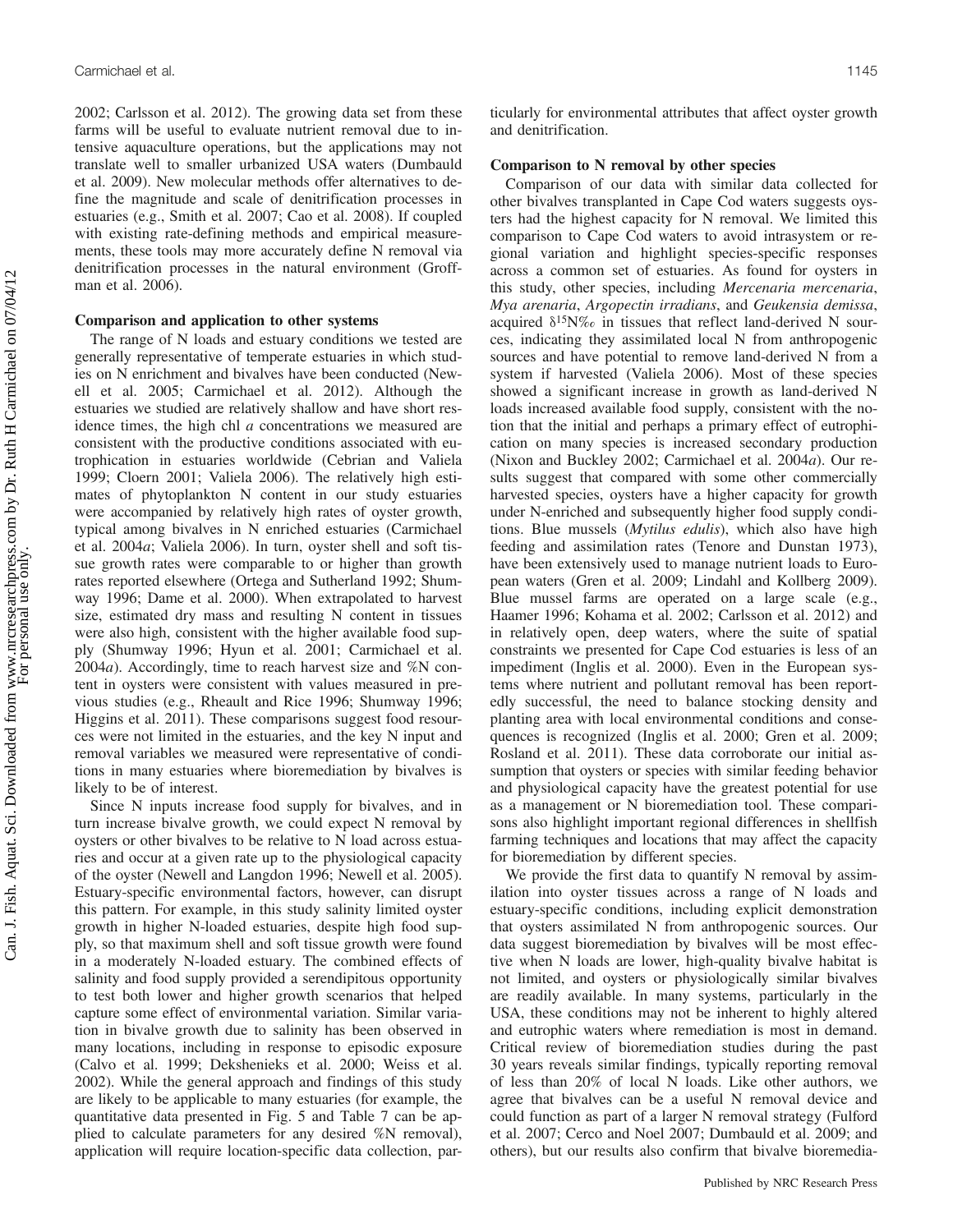2002; Carlsson et al. 2012). The growing data set from these farms will be useful to evaluate nutrient removal due to intensive aquaculture operations, but the applications may not translate well to smaller urbanized USA waters (Dumbauld et al. 2009). New molecular methods offer alternatives to define the magnitude and scale of denitrification processes in estuaries (e.g., Smith et al. 2007; Cao et al. 2008). If coupled with existing rate-defining methods and empirical measurements, these tools may more accurately define N removal via denitrification processes in the natural environment (Groffman et al. 2006).

#### Comparison and application to other systems

The range of N loads and estuary conditions we tested are generally representative of temperate estuaries in which studies on N enrichment and bivalves have been conducted (Newell et al. 2005; Carmichael et al. 2012). Although the estuaries we studied are relatively shallow and have short residence times, the high chl a concentrations we measured are consistent with the productive conditions associated with eutrophication in estuaries worldwide (Cebrian and Valiela 1999; Cloern 2001; Valiela 2006). The relatively high estimates of phytoplankton N content in our study estuaries were accompanied by relatively high rates of oyster growth, typical among bivalves in N enriched estuaries (Carmichael et al. 2004a; Valiela 2006). In turn, oyster shell and soft tissue growth rates were comparable to or higher than growth rates reported elsewhere (Ortega and Sutherland 1992; Shumway 1996; Dame et al. 2000). When extrapolated to harvest size, estimated dry mass and resulting N content in tissues were also high, consistent with the higher available food supply (Shumway 1996; Hyun et al. 2001; Carmichael et al. 2004a). Accordingly, time to reach harvest size and %N content in oysters were consistent with values measured in previous studies (e.g., Rheault and Rice 1996; Shumway 1996; Higgins et al. 2011). These comparisons suggest food resources were not limited in the estuaries, and the key N input and removal variables we measured were representative of conditions in many estuaries where bioremediation by bivalves is likely to be of interest.

Since N inputs increase food supply for bivalves, and in turn increase bivalve growth, we could expect N removal by oysters or other bivalves to be relative to N load across estuaries and occur at a given rate up to the physiological capacity of the oyster (Newell and Langdon 1996; Newell et al. 2005). Estuary-specific environmental factors, however, can disrupt this pattern. For example, in this study salinity limited oyster growth in higher N-loaded estuaries, despite high food supply, so that maximum shell and soft tissue growth were found in a moderately N-loaded estuary. The combined effects of salinity and food supply provided a serendipitous opportunity to test both lower and higher growth scenarios that helped capture some effect of environmental variation. Similar variation in bivalve growth due to salinity has been observed in many locations, including in response to episodic exposure (Calvo et al. 1999; Dekshenieks et al. 2000; Weiss et al. 2002). While the general approach and findings of this study are likely to be applicable to many estuaries (for example, the quantitative data presented in Fig. 5 and Table 7 can be applied to calculate parameters for any desired %N removal), application will require location-specific data collection, particularly for environmental attributes that affect oyster growth and denitrification.

#### Comparison to N removal by other species

Comparison of our data with similar data collected for other bivalves transplanted in Cape Cod waters suggests oysters had the highest capacity for N removal. We limited this comparison to Cape Cod waters to avoid intrasystem or regional variation and highlight species-specific responses across a common set of estuaries. As found for oysters in this study, other species, including Mercenaria mercenaria, Mya arenaria, Argopectin irradians, and Geukensia demissa, acquired  $\delta^{15}N\%$  in tissues that reflect land-derived N sources, indicating they assimilated local N from anthropogenic sources and have potential to remove land-derived N from a system if harvested (Valiela 2006). Most of these species showed a significant increase in growth as land-derived N loads increased available food supply, consistent with the notion that the initial and perhaps a primary effect of eutrophication on many species is increased secondary production (Nixon and Buckley 2002; Carmichael et al. 2004a). Our results suggest that compared with some other commercially harvested species, oysters have a higher capacity for growth under N-enriched and subsequently higher food supply conditions. Blue mussels (Mytilus edulis), which also have high feeding and assimilation rates (Tenore and Dunstan 1973), have been extensively used to manage nutrient loads to European waters (Gren et al. 2009; Lindahl and Kollberg 2009). Blue mussel farms are operated on a large scale (e.g., Haamer 1996; Kohama et al. 2002; Carlsson et al. 2012) and in relatively open, deep waters, where the suite of spatial constraints we presented for Cape Cod estuaries is less of an impediment (Inglis et al. 2000). Even in the European systems where nutrient and pollutant removal has been reportedly successful, the need to balance stocking density and planting area with local environmental conditions and consequences is recognized (Inglis et al. 2000; Gren et al. 2009; Rosland et al. 2011). These data corroborate our initial assumption that oysters or species with similar feeding behavior and physiological capacity have the greatest potential for use as a management or N bioremediation tool. These comparisons also highlight important regional differences in shellfish farming techniques and locations that may affect the capacity for bioremediation by different species.

We provide the first data to quantify N removal by assimilation into oyster tissues across a range of N loads and estuary-specific conditions, including explicit demonstration that oysters assimilated N from anthropogenic sources. Our data suggest bioremediation by bivalves will be most effective when N loads are lower, high-quality bivalve habitat is not limited, and oysters or physiologically similar bivalves are readily available. In many systems, particularly in the USA, these conditions may not be inherent to highly altered and eutrophic waters where remediation is most in demand. Critical review of bioremediation studies during the past 30 years reveals similar findings, typically reporting removal of less than 20% of local N loads. Like other authors, we agree that bivalves can be a useful N removal device and could function as part of a larger N removal strategy (Fulford et al. 2007; Cerco and Noel 2007; Dumbauld et al. 2009; and others), but our results also confirm that bivalve bioremedia-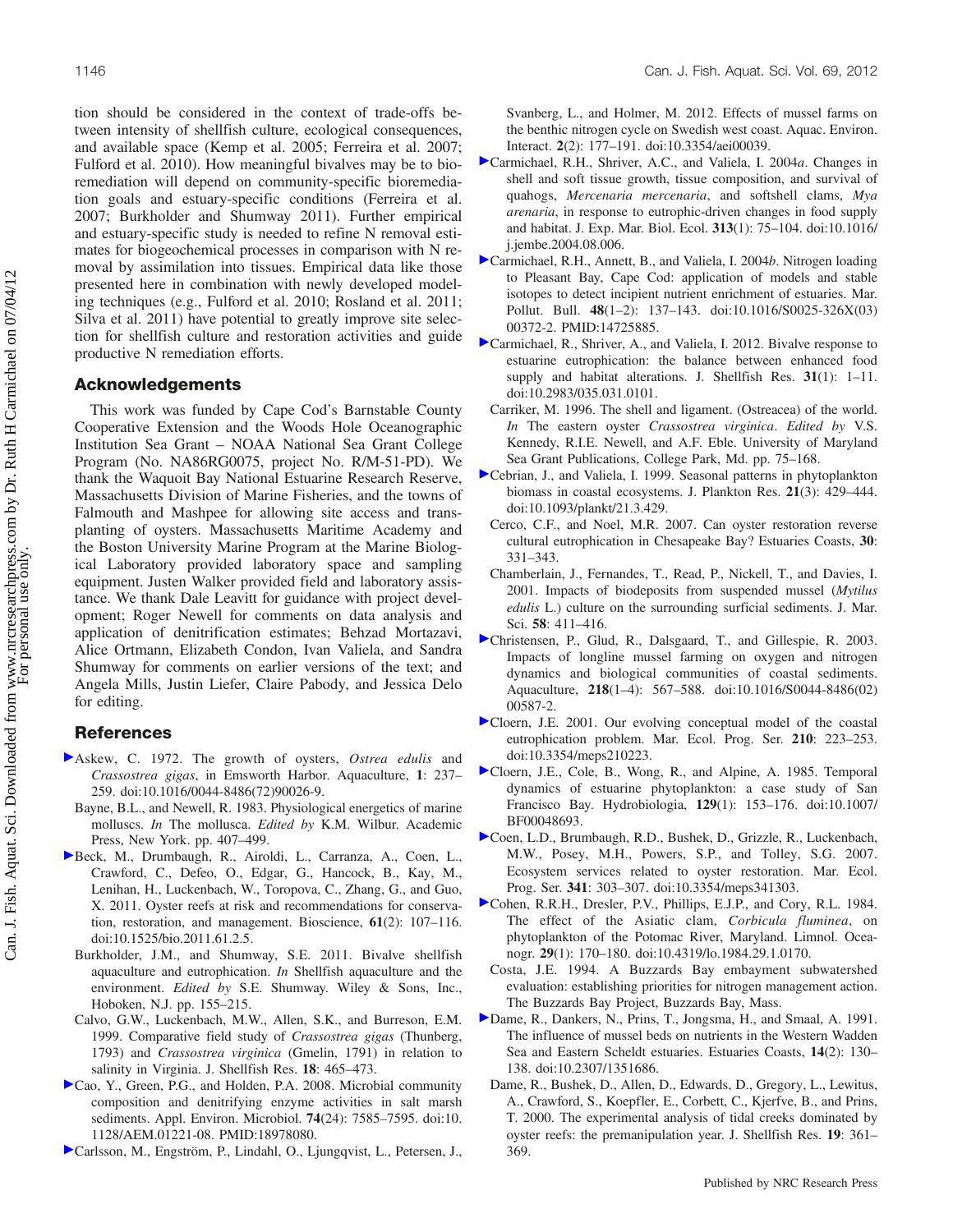tion should be considered in the context of trade-offs between intensity of shellfish culture, ecological consequences, and available space (Kemp et al. 2005; Ferreira et al. 2007; Fulford et al. 2010). How meaningful bivalves may be to bioremediation will depend on community-specific bioremediation goals and estuary-specific conditions (Ferreira et al. 2007; Burkholder and Shumway 2011). Further empirical and estuary-specific study is needed to refine N removal estimates for biogeochemical processes in comparison with N removal by assimilation into tissues. Empirical data like those presented here in combination with newly developed modeling techniques (e.g., Fulford et al. 2010; Rosland et al. 2011; Silva et al. 2011) have potential to greatly improve site selection for shellfish culture and restoration activities and guide productive N remediation efforts.

### Acknowledgements

This work was funded by Cape Cod's Barnstable County Cooperative Extension and the Woods Hole Oceanographic Institution Sea Grant – NOAA National Sea Grant College Program (No. NA86RG0075, project No. R/M-51-PD). We thank the Waquoit Bay National Estuarine Research Reserve, Massachusetts Division of Marine Fisheries, and the towns of Falmouth and Mashpee for allowing site access and transplanting of oysters. Massachusetts Maritime Academy and the Boston University Marine Program at the Marine Biological Laboratory provided laboratory space and sampling equipment. Justen Walker provided field and laboratory assistance. We thank Dale Leavitt for guidance with project development; Roger Newell for comments on data analysis and application of denitrification estimates; Behzad Mortazavi, Alice Ortmann, Elizabeth Condon, Ivan Valiela, and Sandra Shumway for comments on earlier versions of the text; and Angela Mills, Justin Liefer, Claire Pabody, and Jessica Delo for editing.

### References

- Askew, C. 1972. The growth of oysters, Ostrea edulis and Crassostrea gigas, in Emsworth Harbor. Aquaculture, 1: 237– 259. doi:10.1016/0044-8486(72)90026-9.
	- Bayne, B.L., and Newell, R. 1983. Physiological energetics of marine molluscs. In The mollusca. Edited by K.M. Wilbur. Academic Press, New York. pp. 407–499.
- Beck, M., Drumbaugh, R., Airoldi, L., Carranza, A., Coen, L., Crawford, C., Defeo, O., Edgar, G., Hancock, B., Kay, M., Lenihan, H., Luckenbach, W., Toropova, C., Zhang, G., and Guo, X. 2011. Oyster reefs at risk and recommendations for conservation, restoration, and management. Bioscience, 61(2): 107–116. doi:10.1525/bio.2011.61.2.5.
	- Burkholder, J.M., and Shumway, S.E. 2011. Bivalve shellfish aquaculture and eutrophication. In Shellfish aquaculture and the environment. *Edited by* S.E. Shumway. Wiley & Sons, Inc., Hoboken, N.J. pp. 155–215.
	- Calvo, G.W., Luckenbach, M.W., Allen, S.K., and Burreson, E.M. 1999. Comparative field study of *Crassostrea gigas* (Thunberg, 1793) and Crassostrea virginica (Gmelin, 1791) in relation to salinity in Virginia. J. Shellfish Res. 18: 465–473.
- Cao, Y., Green, P.G., and Holden, P.A. 2008. Microbial community composition and denitrifying enzyme activities in salt marsh sediments. Appl. Environ. Microbiol. 74(24): 7585–7595. doi:10. 1128/AEM.01221-08. PMID:18978080.
- Carlsson, M., Engström, P., Lindahl, O., Ljungqvist, L., Petersen, J.,

Svanberg, L., and Holmer, M. 2012. Effects of mussel farms on the benthic nitrogen cycle on Swedish west coast. Aquac. Environ. Interact. 2(2): 177–191. doi:10.3354/aei00039.

- Carmichael, R.H., Shriver, A.C., and Valiela, I. 2004a. Changes in shell and soft tissue growth, tissue composition, and survival of quahogs, Mercenaria mercenaria, and softshell clams, Mya arenaria, in response to eutrophic-driven changes in food supply and habitat. J. Exp. Mar. Biol. Ecol. 313(1): 75–104. doi:10.1016/ j.jembe.2004.08.006.
- Carmichael, R.H., Annett, B., and Valiela, I. 2004b. Nitrogen loading to Pleasant Bay, Cape Cod: application of models and stable isotopes to detect incipient nutrient enrichment of estuaries. Mar. Pollut. Bull. 48(1–2): 137–143. doi:10.1016/S0025-326X(03) 00372-2. PMID:14725885.
- Carmichael, R., Shriver, A., and Valiela, I. 2012. Bivalve response to estuarine eutrophication: the balance between enhanced food supply and habitat alterations. J. Shellfish Res. 31(1): 1-11. doi:10.2983/035.031.0101.
- Carriker, M. 1996. The shell and ligament. (Ostreacea) of the world. In The eastern oyster Crassostrea virginica. Edited by V.S. Kennedy, R.I.E. Newell, and A.F. Eble. University of Maryland Sea Grant Publications, College Park, Md. pp. 75–168.
- Cebrian, J., and Valiela, I. 1999. Seasonal patterns in phytoplankton biomass in coastal ecosystems. J. Plankton Res. 21(3): 429–444. doi:10.1093/plankt/21.3.429.
- Cerco, C.F., and Noel, M.R. 2007. Can oyster restoration reverse cultural eutrophication in Chesapeake Bay? Estuaries Coasts, 30: 331–343.
- Chamberlain, J., Fernandes, T., Read, P., Nickell, T., and Davies, I. 2001. Impacts of biodeposits from suspended mussel (Mytilus edulis L.) culture on the surrounding surficial sediments. J. Mar. Sci. 58: 411–416.
- Christensen, P., Glud, R., Dalsgaard, T., and Gillespie, R. 2003. Impacts of longline mussel farming on oxygen and nitrogen dynamics and biological communities of coastal sediments. Aquaculture, 218(1–4): 567–588. doi:10.1016/S0044-8486(02) 00587-2.
- Cloern, J.E. 2001. Our evolving conceptual model of the coastal eutrophication problem. Mar. Ecol. Prog. Ser. 210: 223–253. doi:10.3354/meps210223.
- Cloern, J.E., Cole, B., Wong, R., and Alpine, A. 1985. Temporal dynamics of estuarine phytoplankton: a case study of San Francisco Bay. Hydrobiologia, 129(1): 153–176. doi:10.1007/ BF00048693.
- Coen, L.D., Brumbaugh, R.D., Bushek, D., Grizzle, R., Luckenbach, M.W., Posey, M.H., Powers, S.P., and Tolley, S.G. 2007. Ecosystem services related to oyster restoration. Mar. Ecol. Prog. Ser. 341: 303–307. doi:10.3354/meps341303.
- Cohen, R.R.H., Dresler, P.V., Phillips, E.J.P., and Cory, R.L. 1984. The effect of the Asiatic clam, Corbicula fluminea, on phytoplankton of the Potomac River, Maryland. Limnol. Oceanogr. 29(1): 170–180. doi:10.4319/lo.1984.29.1.0170.
- Costa, J.E. 1994. A Buzzards Bay embayment subwatershed evaluation: establishing priorities for nitrogen management action. The Buzzards Bay Project, Buzzards Bay, Mass.
- Dame, R., Dankers, N., Prins, T., Jongsma, H., and Smaal, A. 1991. The influence of mussel beds on nutrients in the Western Wadden Sea and Eastern Scheldt estuaries. Estuaries Coasts, 14(2): 130– 138. doi:10.2307/1351686.
- Dame, R., Bushek, D., Allen, D., Edwards, D., Gregory, L., Lewitus, A., Crawford, S., Koepfler, E., Corbett, C., Kjerfve, B., and Prins, T. 2000. The experimental analysis of tidal creeks dominated by oyster reefs: the premanipulation year. J. Shellfish Res. 19: 361– 369.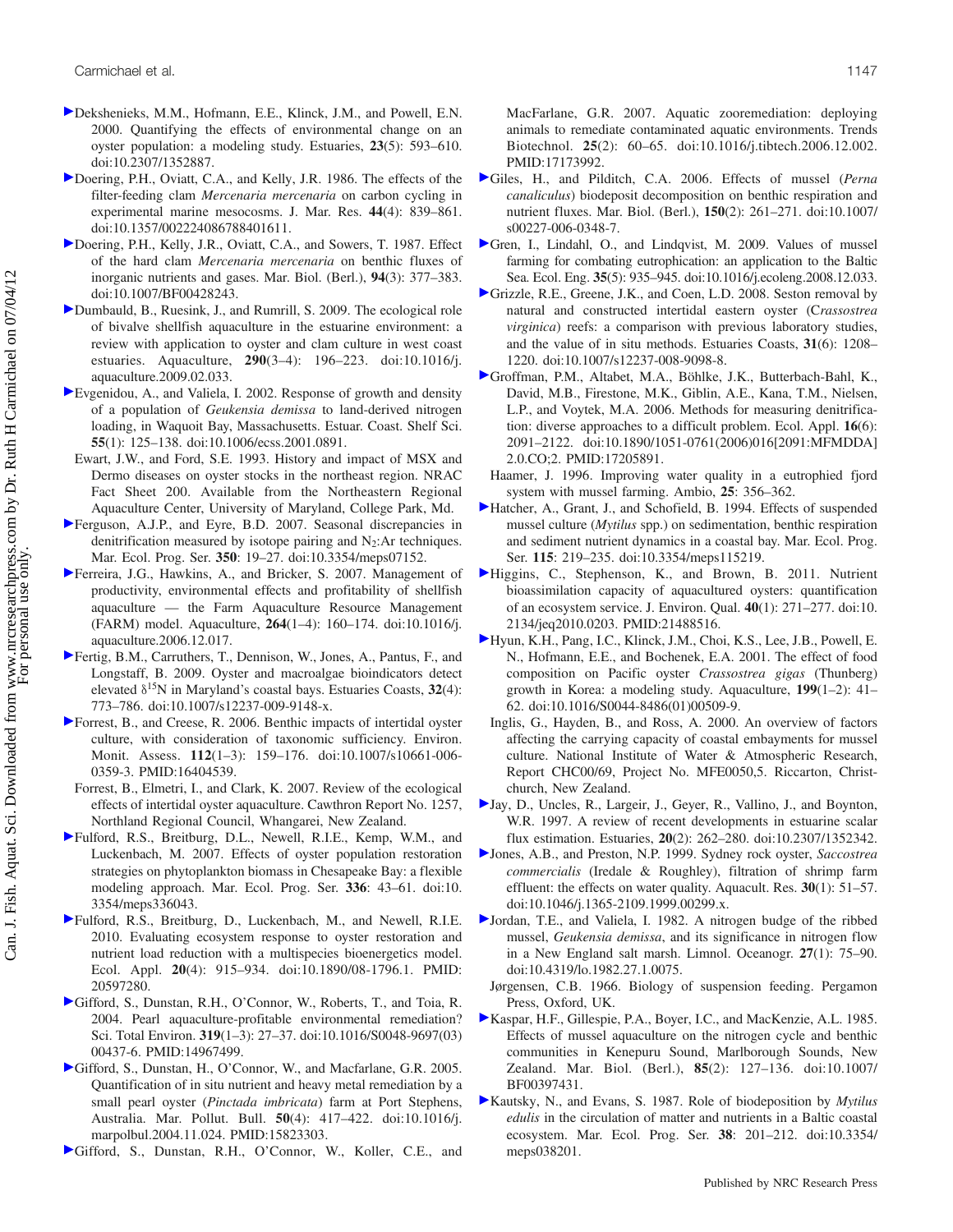- Dekshenieks, M.M., Hofmann, E.E., Klinck, J.M., and Powell, E.N. 2000. Quantifying the effects of environmental change on an oyster population: a modeling study. Estuaries, 23(5): 593–610. doi:10.2307/1352887.
- Doering, P.H., Oviatt, C.A., and Kelly, J.R. 1986. The effects of the filter-feeding clam Mercenaria mercenaria on carbon cycling in experimental marine mesocosms. J. Mar. Res. 44(4): 839–861. doi:10.1357/002224086788401611.
- Doering, P.H., Kelly, J.R., Oviatt, C.A., and Sowers, T. 1987. Effect of the hard clam Mercenaria mercenaria on benthic fluxes of inorganic nutrients and gases. Mar. Biol. (Berl.), 94(3): 377–383. doi:10.1007/BF00428243.
- Dumbauld, B., Ruesink, J., and Rumrill, S. 2009. The ecological role of bivalve shellfish aquaculture in the estuarine environment: a review with application to oyster and clam culture in west coast estuaries. Aquaculture, 290(3–4): 196–223. doi:10.1016/j. aquaculture.2009.02.033.
- Evgenidou, A., and Valiela, I. 2002. Response of growth and density of a population of Geukensia demissa to land-derived nitrogen loading, in Waquoit Bay, Massachusetts. Estuar. Coast. Shelf Sci. 55(1): 125–138. doi:10.1006/ecss.2001.0891.
- Ewart, J.W., and Ford, S.E. 1993. History and impact of MSX and Dermo diseases on oyster stocks in the northeast region. NRAC Fact Sheet 200. Available from the Northeastern Regional Aquaculture Center, University of Maryland, College Park, Md.
- Ferguson, A.J.P., and Eyre, B.D. 2007. Seasonal discrepancies in denitrification measured by isotope pairing and  $N_2$ : Ar techniques. Mar. Ecol. Prog. Ser. 350: 19–27. doi:10.3354/meps07152.
- Ferreira, J.G., Hawkins, A., and Bricker, S. 2007. Management of productivity, environmental effects and profitability of shellfish aquaculture — the Farm Aquaculture Resource Management (FARM) model. Aquaculture, 264(1–4): 160–174. doi:10.1016/j. aquaculture.2006.12.017.
- Fertig, B.M., Carruthers, T., Dennison, W., Jones, A., Pantus, F., and Longstaff, B. 2009. Oyster and macroalgae bioindicators detect elevated  $\delta^{15}N$  in Maryland's coastal bays. Estuaries Coasts, 32(4): 773–786. doi:10.1007/s12237-009-9148-x.
- Forrest, B., and Creese, R. 2006. Benthic impacts of intertidal oyster culture, with consideration of taxonomic sufficiency. Environ. Monit. Assess. 112(1–3): 159–176. doi:10.1007/s10661-006- 0359-3. PMID:16404539.
- Forrest, B., Elmetri, I., and Clark, K. 2007. Review of the ecological effects of intertidal oyster aquaculture. Cawthron Report No. 1257, Northland Regional Council, Whangarei, New Zealand.
- Fulford, R.S., Breitburg, D.L., Newell, R.I.E., Kemp, W.M., and Luckenbach, M. 2007. Effects of oyster population restoration strategies on phytoplankton biomass in Chesapeake Bay: a flexible modeling approach. Mar. Ecol. Prog. Ser. 336: 43–61. doi:10. 3354/meps336043.
- Fulford, R.S., Breitburg, D., Luckenbach, M., and Newell, R.I.E. 2010. Evaluating ecosystem response to oyster restoration and nutrient load reduction with a multispecies bioenergetics model. Ecol. Appl. 20(4): 915–934. doi:10.1890/08-1796.1. PMID: 20597280.
- Gifford, S., Dunstan, R.H., O'Connor, W., Roberts, T., and Toia, R. 2004. Pearl aquaculture-profitable environmental remediation? Sci. Total Environ. 319(1–3): 27–37. doi:10.1016/S0048-9697(03) 00437-6. PMID:14967499.
- Gifford, S., Dunstan, H., O'Connor, W., and Macfarlane, G.R. 2005. Quantification of in situ nutrient and heavy metal remediation by a small pearl oyster (Pinctada imbricata) farm at Port Stephens, Australia. Mar. Pollut. Bull. 50(4): 417–422. doi:10.1016/j. marpolbul.2004.11.024. PMID:15823303.
- Gifford, S., Dunstan, R.H., O'Connor, W., Koller, C.E., and

MacFarlane, G.R. 2007. Aquatic zooremediation: deploying animals to remediate contaminated aquatic environments. Trends Biotechnol. 25(2): 60–65. doi:10.1016/j.tibtech.2006.12.002. PMID:17173992.

- Giles, H., and Pilditch, C.A. 2006. Effects of mussel (Perna canaliculus) biodeposit decomposition on benthic respiration and nutrient fluxes. Mar. Biol. (Berl.), 150(2): 261–271. doi:10.1007/ s00227-006-0348-7.
- Gren, I., Lindahl, O., and Lindqvist, M. 2009. Values of mussel farming for combating eutrophication: an application to the Baltic Sea. Ecol. Eng. 35(5): 935–945. doi:10.1016/j.ecoleng.2008.12.033.
- Grizzle, R.E., Greene, J.K., and Coen, L.D. 2008. Seston removal by natural and constructed intertidal eastern oyster (Crassostrea virginica) reefs: a comparison with previous laboratory studies, and the value of in situ methods. Estuaries Coasts, 31(6): 1208– 1220. doi:10.1007/s12237-008-9098-8.
- Groffman, P.M., Altabet, M.A., Böhlke, J.K., Butterbach-Bahl, K., David, M.B., Firestone, M.K., Giblin, A.E., Kana, T.M., Nielsen, L.P., and Voytek, M.A. 2006. Methods for measuring denitrification: diverse approaches to a difficult problem. Ecol. Appl. 16(6): 2091–2122. doi:10.1890/1051-0761(2006)016[2091:MFMDDA] 2.0.CO;2. PMID:17205891.
- Haamer, J. 1996. Improving water quality in a eutrophied fjord system with mussel farming. Ambio, 25: 356–362.
- Hatcher, A., Grant, J., and Schofield, B. 1994. Effects of suspended mussel culture (Mytilus spp.) on sedimentation, benthic respiration and sediment nutrient dynamics in a coastal bay. Mar. Ecol. Prog. Ser. 115: 219–235. doi:10.3354/meps115219.
- Higgins, C., Stephenson, K., and Brown, B. 2011. Nutrient bioassimilation capacity of aquacultured oysters: quantification of an ecosystem service. J. Environ. Qual. 40(1): 271–277. doi:10. 2134/jeq2010.0203. PMID:21488516.
- Hyun, K.H., Pang, I.C., Klinck, J.M., Choi, K.S., Lee, J.B., Powell, E. N., Hofmann, E.E., and Bochenek, E.A. 2001. The effect of food composition on Pacific oyster Crassostrea gigas (Thunberg) growth in Korea: a modeling study. Aquaculture, 199(1–2): 41– 62. doi:10.1016/S0044-8486(01)00509-9.
- Inglis, G., Hayden, B., and Ross, A. 2000. An overview of factors affecting the carrying capacity of coastal embayments for mussel culture. National Institute of Water & Atmospheric Research, Report CHC00/69, Project No. MFE0050,5. Riccarton, Christchurch, New Zealand.
- Jay, D., Uncles, R., Largeir, J., Geyer, R., Vallino, J., and Boynton, W.R. 1997. A review of recent developments in estuarine scalar flux estimation. Estuaries, 20(2): 262–280. doi:10.2307/1352342.
- Jones, A.B., and Preston, N.P. 1999. Sydney rock oyster, Saccostrea commercialis (Iredale & Roughley), filtration of shrimp farm effluent: the effects on water quality. Aquacult. Res. 30(1): 51–57. doi:10.1046/j.1365-2109.1999.00299.x.
- Jordan, T.E., and Valiela, I. 1982. A nitrogen budge of the ribbed mussel, Geukensia demissa, and its significance in nitrogen flow in a New England salt marsh. Limnol. Oceanogr. 27(1): 75–90. doi:10.4319/lo.1982.27.1.0075.
- Jørgensen, C.B. 1966. Biology of suspension feeding. Pergamon Press, Oxford, UK.
- Kaspar, H.F., Gillespie, P.A., Boyer, I.C., and MacKenzie, A.L. 1985. Effects of mussel aquaculture on the nitrogen cycle and benthic communities in Kenepuru Sound, Marlborough Sounds, New Zealand. Mar. Biol. (Berl.), 85(2): 127–136. doi:10.1007/ BF00397431.
- Kautsky, N., and Evans, S. 1987. Role of biodeposition by Mytilus edulis in the circulation of matter and nutrients in a Baltic coastal ecosystem. Mar. Ecol. Prog. Ser. 38: 201–212. doi:10.3354/ meps038201.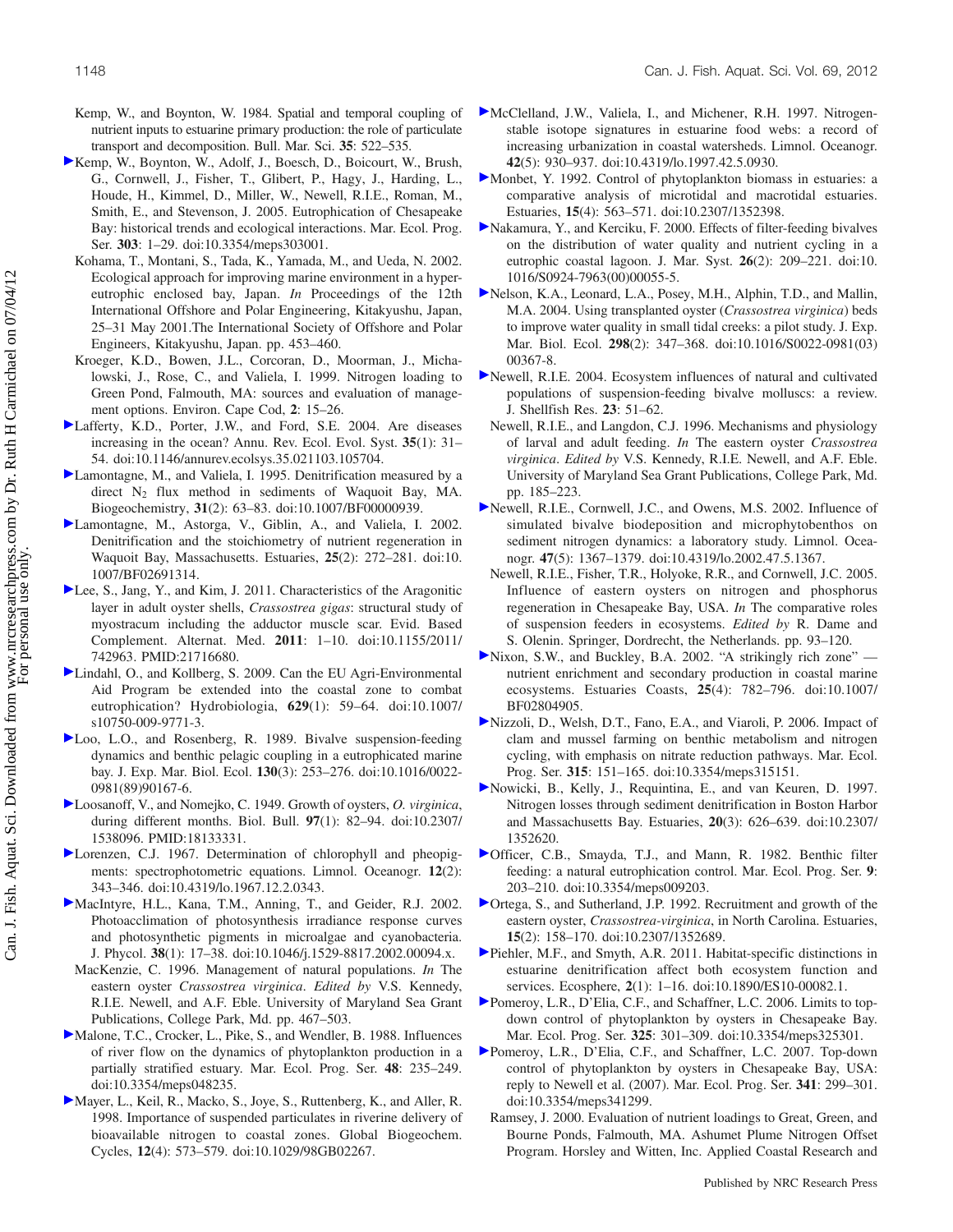- Kemp, W., and Boynton, W. 1984. Spatial and temporal coupling of nutrient inputs to estuarine primary production: the role of particulate transport and decomposition. Bull. Mar. Sci. 35: 522–535.
- Kemp, W., Boynton, W., Adolf, J., Boesch, D., Boicourt, W., Brush, G., Cornwell, J., Fisher, T., Glibert, P., Hagy, J., Harding, L., Houde, H., Kimmel, D., Miller, W., Newell, R.I.E., Roman, M., Smith, E., and Stevenson, J. 2005. Eutrophication of Chesapeake Bay: historical trends and ecological interactions. Mar. Ecol. Prog. Ser. 303: 1–29. doi:10.3354/meps303001.
- Kohama, T., Montani, S., Tada, K., Yamada, M., and Ueda, N. 2002. Ecological approach for improving marine environment in a hypereutrophic enclosed bay, Japan. In Proceedings of the 12th International Offshore and Polar Engineering, Kitakyushu, Japan, 25–31 May 2001.The International Society of Offshore and Polar Engineers, Kitakyushu, Japan. pp. 453–460.
- Kroeger, K.D., Bowen, J.L., Corcoran, D., Moorman, J., Michalowski, J., Rose, C., and Valiela, I. 1999. Nitrogen loading to Green Pond, Falmouth, MA: sources and evaluation of management options. Environ. Cape Cod, 2: 15–26.
- Lafferty, K.D., Porter, J.W., and Ford, S.E. 2004. Are diseases increasing in the ocean? Annu. Rev. Ecol. Evol. Syst. 35(1): 31– 54. doi:10.1146/annurev.ecolsys.35.021103.105704.
- Lamontagne, M., and Valiela, I. 1995. Denitrification measured by a direct  $N_2$  flux method in sediments of Waquoit Bay, MA. Biogeochemistry, 31(2): 63–83. doi:10.1007/BF00000939.
- Lamontagne, M., Astorga, V., Giblin, A., and Valiela, I. 2002. Denitrification and the stoichiometry of nutrient regeneration in Waquoit Bay, Massachusetts. Estuaries, 25(2): 272–281. doi:10. 1007/BF02691314.
- Lee, S., Jang, Y., and Kim, J. 2011. Characteristics of the Aragonitic layer in adult oyster shells, Crassostrea gigas: structural study of myostracum including the adductor muscle scar. Evid. Based Complement. Alternat. Med. 2011: 1–10. doi:10.1155/2011/ 742963. PMID:21716680.
- Lindahl, O., and Kollberg, S. 2009. Can the EU Agri-Environmental Aid Program be extended into the coastal zone to combat eutrophication? Hydrobiologia, 629(1): 59–64. doi:10.1007/ s10750-009-9771-3.
- Loo, L.O., and Rosenberg, R. 1989. Bivalve suspension-feeding dynamics and benthic pelagic coupling in a eutrophicated marine bay. J. Exp. Mar. Biol. Ecol. 130(3): 253–276. doi:10.1016/0022- 0981(89)90167-6.
- Loosanoff, V., and Nomejko, C. 1949. Growth of oysters, O. virginica, during different months. Biol. Bull. 97(1): 82–94. doi:10.2307/ 1538096. PMID:18133331.
- Lorenzen, C.J. 1967. Determination of chlorophyll and pheopigments: spectrophotometric equations. Limnol. Oceanogr. 12(2): 343–346. doi:10.4319/lo.1967.12.2.0343.
- MacIntyre, H.L., Kana, T.M., Anning, T., and Geider, R.J. 2002. Photoacclimation of photosynthesis irradiance response curves and photosynthetic pigments in microalgae and cyanobacteria. J. Phycol. 38(1): 17–38. doi:10.1046/j.1529-8817.2002.00094.x.
- MacKenzie, C. 1996. Management of natural populations. In The eastern oyster Crassostrea virginica. Edited by V.S. Kennedy, R.I.E. Newell, and A.F. Eble. University of Maryland Sea Grant Publications, College Park, Md. pp. 467–503.
- Malone, T.C., Crocker, L., Pike, S., and Wendler, B. 1988. Influences of river flow on the dynamics of phytoplankton production in a partially stratified estuary. Mar. Ecol. Prog. Ser. 48: 235–249. doi:10.3354/meps048235.
- Mayer, L., Keil, R., Macko, S., Joye, S., Ruttenberg, K., and Aller, R. 1998. Importance of suspended particulates in riverine delivery of bioavailable nitrogen to coastal zones. Global Biogeochem. Cycles, 12(4): 573–579. doi:10.1029/98GB02267.
- McClelland, J.W., Valiela, I., and Michener, R.H. 1997. Nitrogenstable isotope signatures in estuarine food webs: a record of increasing urbanization in coastal watersheds. Limnol. Oceanogr. 42(5): 930–937. doi:10.4319/lo.1997.42.5.0930.
- Monbet, Y. 1992. Control of phytoplankton biomass in estuaries: a comparative analysis of microtidal and macrotidal estuaries. Estuaries, 15(4): 563–571. doi:10.2307/1352398.
- Nakamura, Y., and Kerciku, F. 2000. Effects of filter-feeding bivalves on the distribution of water quality and nutrient cycling in a eutrophic coastal lagoon. J. Mar. Syst. 26(2): 209–221. doi:10. 1016/S0924-7963(00)00055-5.
- Nelson, K.A., Leonard, L.A., Posey, M.H., Alphin, T.D., and Mallin, M.A. 2004. Using transplanted oyster (Crassostrea virginica) beds to improve water quality in small tidal creeks: a pilot study. J. Exp. Mar. Biol. Ecol. 298(2): 347–368. doi:10.1016/S0022-0981(03) 00367-8.
- Newell, R.I.E. 2004. Ecosystem influences of natural and cultivated populations of suspension-feeding bivalve molluscs: a review. J. Shellfish Res. 23: 51–62.
- Newell, R.I.E., and Langdon, C.J. 1996. Mechanisms and physiology of larval and adult feeding. In The eastern oyster Crassostrea virginica. Edited by V.S. Kennedy, R.I.E. Newell, and A.F. Eble. University of Maryland Sea Grant Publications, College Park, Md. pp. 185–223.
- Newell, R.I.E., Cornwell, J.C., and Owens, M.S. 2002. Influence of simulated bivalve biodeposition and microphytobenthos on sediment nitrogen dynamics: a laboratory study. Limnol. Oceanogr. 47(5): 1367–1379. doi:10.4319/lo.2002.47.5.1367.
- Newell, R.I.E., Fisher, T.R., Holyoke, R.R., and Cornwell, J.C. 2005. Influence of eastern oysters on nitrogen and phosphorus regeneration in Chesapeake Bay, USA. In The comparative roles of suspension feeders in ecosystems. Edited by R. Dame and S. Olenin. Springer, Dordrecht, the Netherlands. pp. 93–120.
- Nixon, S.W., and Buckley, B.A. 2002. "A strikingly rich zone" nutrient enrichment and secondary production in coastal marine ecosystems. Estuaries Coasts, 25(4): 782–796. doi:10.1007/ BF02804905.
- Nizzoli, D., Welsh, D.T., Fano, E.A., and Viaroli, P. 2006. Impact of clam and mussel farming on benthic metabolism and nitrogen cycling, with emphasis on nitrate reduction pathways. Mar. Ecol. Prog. Ser. 315: 151–165. doi:10.3354/meps315151.
- Nowicki, B., Kelly, J., Requintina, E., and van Keuren, D. 1997. Nitrogen losses through sediment denitrification in Boston Harbor and Massachusetts Bay. Estuaries, 20(3): 626–639. doi:10.2307/ 1352620.
- Officer, C.B., Smayda, T.J., and Mann, R. 1982. Benthic filter feeding: a natural eutrophication control. Mar. Ecol. Prog. Ser. 9: 203–210. doi:10.3354/meps009203.
- Ortega, S., and Sutherland, J.P. 1992. Recruitment and growth of the eastern oyster, Crassostrea-virginica, in North Carolina. Estuaries, 15(2): 158–170. doi:10.2307/1352689.
- Piehler, M.F., and Smyth, A.R. 2011. Habitat-specific distinctions in estuarine denitrification affect both ecosystem function and services. Ecosphere, 2(1): 1–16. doi:10.1890/ES10-00082.1.
- Pomeroy, L.R., D'Elia, C.F., and Schaffner, L.C. 2006. Limits to topdown control of phytoplankton by oysters in Chesapeake Bay. Mar. Ecol. Prog. Ser. 325: 301–309. doi:10.3354/meps325301.
- Pomeroy, L.R., D'Elia, C.F., and Schaffner, L.C. 2007. Top-down control of phytoplankton by oysters in Chesapeake Bay, USA: reply to Newell et al. (2007). Mar. Ecol. Prog. Ser. 341: 299–301. doi:10.3354/meps341299.
- Ramsey, J. 2000. Evaluation of nutrient loadings to Great, Green, and Bourne Ponds, Falmouth, MA. Ashumet Plume Nitrogen Offset Program. Horsley and Witten, Inc. Applied Coastal Research and